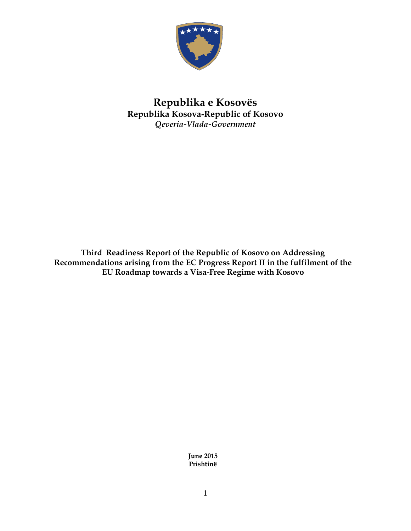

## **Republika e Kosovës Republika Kosova-Republic of Kosovo** *Qeveria-Vlada-Government*

**Third Readiness Report of the Republic of Kosovo on Addressing Recommendations arising from the EC Progress Report II in the fulfilment of the EU Roadmap towards a Visa-Free Regime with Kosovo**

> **June 2015 Prishtinë**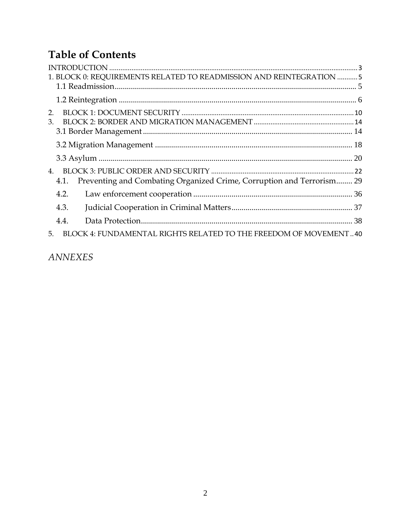# **Table of Contents**

|                | 1. BLOCK 0: REQUIREMENTS RELATED TO READMISSION AND REINTEGRATION  5          |  |
|----------------|-------------------------------------------------------------------------------|--|
|                |                                                                               |  |
|                |                                                                               |  |
| 2.             |                                                                               |  |
| 3.             |                                                                               |  |
|                |                                                                               |  |
|                |                                                                               |  |
|                |                                                                               |  |
| $\mathbf{4}$ . |                                                                               |  |
|                | Preventing and Combating Organized Crime, Corruption and Terrorism 29<br>4.1. |  |
|                | 4.2.                                                                          |  |
|                | 4.3.                                                                          |  |
|                | 4.4.                                                                          |  |
| 5.             | BLOCK 4: FUNDAMENTAL RIGHTS RELATED TO THE FREEDOM OF MOVEMENT40              |  |
|                |                                                                               |  |

 $\label{eq:anm} \textit{ANNEXES}$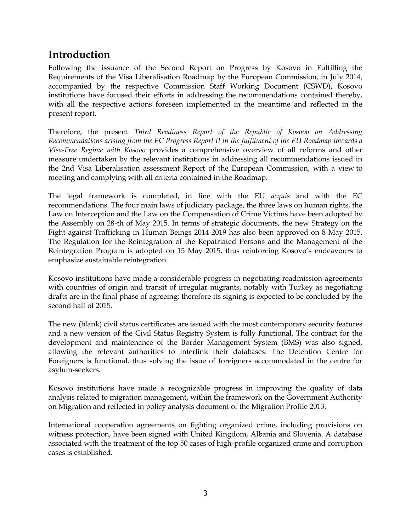## <span id="page-2-0"></span>**Introduction**

Following the issuance of the Second Report on Progress by Kosovo in Fulfilling the Requirements of the Visa Liberalisation Roadmap by the European Commission, in July 2014, accompanied by the respective Commission Staff Working Document (CSWD), Kosovo institutions have focused their efforts in addressing the recommendations contained thereby, with all the respective actions foreseen implemented in the meantime and reflected in the present report.

Therefore, the present *Third Readiness Report of the Republic of Kosovo on Addressing Recommendations arising from the EC Progress Report II in the fulfilment of the EU Roadmap towards a Visa-Free Regime with Kosovo* provides a comprehensive overview of all reforms and other measure undertaken by the relevant institutions in addressing all recommendations issued in the 2nd Visa Liberalisation assessment Report of the European Commission, with a view to meeting and complying with all criteria contained in the Roadmap.

The legal framework is completed, in line with the EU *acquis* and with the EC recommendations. The four main laws of judiciary package, the three laws on human rights, the Law on Interception and the Law on the Compensation of Crime Victims have been adopted by the Assembly on 28-th of May 2015. In terms of strategic documents, the new Strategy on the Fight against Trafficking in Human Beings 2014-2019 has also been approved on 8 May 2015. The Regulation for the Reintegration of the Repatriated Persons and the Management of the Reintegration Program is adopted on 15 May 2015, thus reinforcing Kosovo's endeavours to emphasize sustainable reintegration.

Kosovo institutions have made a considerable progress in negotiating readmission agreements with countries of origin and transit of irregular migrants, notably with Turkey as negotiating drafts are in the final phase of agreeing; therefore its signing is expected to be concluded by the second half of 2015.

The new (blank) civil status certificates are issued with the most contemporary security features and a new version of the Civil Status Registry System is fully functional. The contract for the development and maintenance of the Border Management System (BMS) was also signed, allowing the relevant authorities to interlink their databases. The Detention Centre for Foreigners is functional, thus solving the issue of foreigners accommodated in the centre for asylum-seekers.

Kosovo institutions have made a recognizable progress in improving the quality of data analysis related to migration management, within the framework on the Government Authority on Migration and reflected in policy analysis document of the Migration Profile 2013.

International cooperation agreements on fighting organized crime, including provisions on witness protection, have been signed with United Kingdom, Albania and Slovenia. A database associated with the treatment of the top 50 cases of high-profile organized crime and corruption cases is established.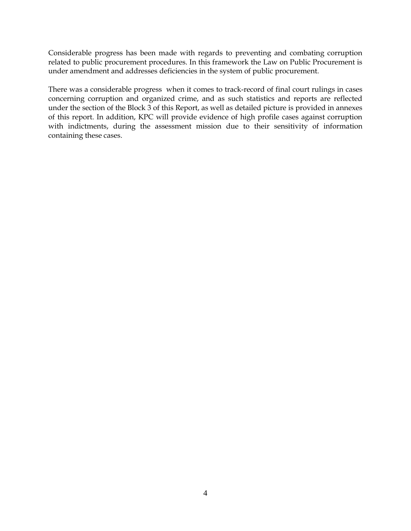Considerable progress has been made with regards to preventing and combating corruption related to public procurement procedures. In this framework the Law on Public Procurement is under amendment and addresses deficiencies in the system of public procurement.

There was a considerable progress when it comes to track-record of final court rulings in cases concerning corruption and organized crime, and as such statistics and reports are reflected under the section of the Block 3 of this Report, as well as detailed picture is provided in annexes of this report. In addition, KPC will provide evidence of high profile cases against corruption with indictments, during the assessment mission due to their sensitivity of information containing these cases.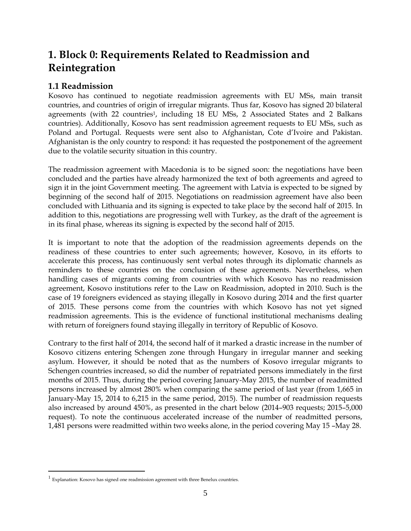## <span id="page-4-0"></span>**1. Block 0: Requirements Related to Readmission and Reintegration**

### <span id="page-4-1"></span>**1.1 Readmission**

Kosovo has continued to negotiate readmission agreements with EU MSs, main transit countries, and countries of origin of irregular migrants. Thus far, Kosovo has signed 20 bilateral agreements (with 22 countries<sup>1</sup>, including 18 EU MSs, 2 Associated States and 2 Balkans countries). Additionally, Kosovo has sent readmission agreement requests to EU MSs, such as Poland and Portugal. Requests were sent also to Afghanistan, Cote d'Ivoire and Pakistan. Afghanistan is the only country to respond: it has requested the postponement of the agreement due to the volatile security situation in this country.

The readmission agreement with Macedonia is to be signed soon: the negotiations have been concluded and the parties have already harmonized the text of both agreements and agreed to sign it in the joint Government meeting. The agreement with Latvia is expected to be signed by beginning of the second half of 2015. Negotiations on readmission agreement have also been concluded with Lithuania and its signing is expected to take place by the second half of 2015. In addition to this, negotiations are progressing well with Turkey, as the draft of the agreement is in its final phase, whereas its signing is expected by the second half of 2015.

It is important to note that the adoption of the readmission agreements depends on the readiness of these countries to enter such agreements; however, Kosovo, in its efforts to accelerate this process, has continuously sent verbal notes through its diplomatic channels as reminders to these countries on the conclusion of these agreements. Nevertheless, when handling cases of migrants coming from countries with which Kosovo has no readmission agreement, Kosovo institutions refer to the Law on Readmission, adopted in 2010. Such is the case of 19 foreigners evidenced as staying illegally in Kosovo during 2014 and the first quarter of 2015. These persons come from the countries with which Kosovo has not yet signed readmission agreements. This is the evidence of functional institutional mechanisms dealing with return of foreigners found staying illegally in territory of Republic of Kosovo.

Contrary to the first half of 2014, the second half of it marked a drastic increase in the number of Kosovo citizens entering Schengen zone through Hungary in irregular manner and seeking asylum. However, it should be noted that as the numbers of Kosovo irregular migrants to Schengen countries increased, so did the number of repatriated persons immediately in the first months of 2015. Thus, during the period covering January-May 2015, the number of readmitted persons increased by almost 280% when comparing the same period of last year (from 1,665 in January-May 15, 2014 to 6,215 in the same period, 2015). The number of readmission requests also increased by around 450%, as presented in the chart below (2014–903 requests; 2015–5,000 request). To note the continuous accelerated increase of the number of readmitted persons, 1,481 persons were readmitted within two weeks alone, in the period covering May 15 –May 28.

 $\overline{a}$ 

 $<sup>1</sup>$  Explanation: Kosovo has signed one readmission agreement with three Benelux countries.</sup>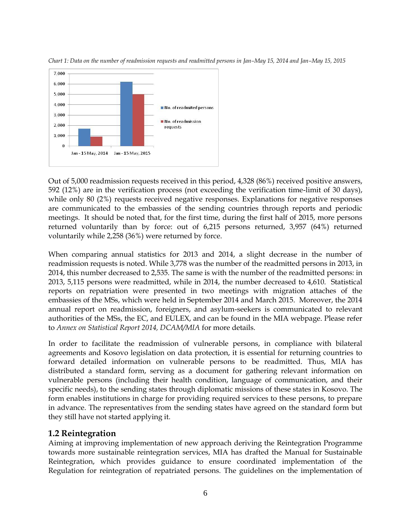

*Chart 1: Data on the number of readmission requests and readmitted persons in Jan–May 15, 2014 and Jan–May 15, 2015*

Out of 5,000 readmission requests received in this period, 4,328 (86%) received positive answers, 592 (12%) are in the verification process (not exceeding the verification time-limit of 30 days), while only 80 (2%) requests received negative responses. Explanations for negative responses are communicated to the embassies of the sending countries through reports and periodic meetings. It should be noted that, for the first time, during the first half of 2015, more persons returned voluntarily than by force: out of 6,215 persons returned, 3,957 (64%) returned voluntarily while 2,258 (36%) were returned by force.

When comparing annual statistics for 2013 and 2014, a slight decrease in the number of readmission requests is noted. While 3,778 was the number of the readmitted persons in 2013, in 2014, this number decreased to 2,535. The same is with the number of the readmitted persons: in 2013, 5,115 persons were readmitted, while in 2014, the number decreased to 4,610. Statistical reports on repatriation were presented in two meetings with migration attaches of the embassies of the MSs, which were held in September 2014 and March 2015. Moreover, the 2014 annual report on readmission, foreigners, and asylum-seekers is communicated to relevant authorities of the MSs, the EC, and EULEX, and can be found in the MIA webpage. Please refer to *Annex on Statistical Report 2014, DCAM/MIA* for more details.

In order to facilitate the readmission of vulnerable persons, in compliance with bilateral agreements and Kosovo legislation on data protection, it is essential for returning countries to forward detailed information on vulnerable persons to be readmitted. Thus, MIA has distributed a standard form, serving as a document for gathering relevant information on vulnerable persons (including their health condition, language of communication, and their specific needs), to the sending states through diplomatic missions of these states in Kosovo. The form enables institutions in charge for providing required services to these persons, to prepare in advance. The representatives from the sending states have agreed on the standard form but they still have not started applying it.

### <span id="page-5-0"></span>**1.2 Reintegration**

Aiming at improving implementation of new approach deriving the Reintegration Programme towards more sustainable reintegration services, MIA has drafted the Manual for Sustainable Reintegration, which provides guidance to ensure coordinated implementation of the Regulation for reintegration of repatriated persons. The guidelines on the implementation of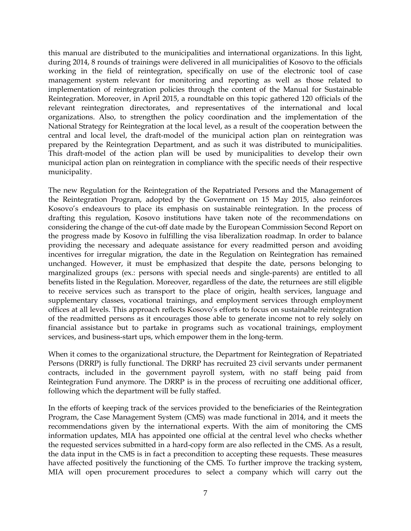this manual are distributed to the municipalities and international organizations. In this light, during 2014, 8 rounds of trainings were delivered in all municipalities of Kosovo to the officials working in the field of reintegration, specifically on use of the electronic tool of case management system relevant for monitoring and reporting as well as those related to implementation of reintegration policies through the content of the Manual for Sustainable Reintegration. Moreover, in April 2015, a roundtable on this topic gathered 120 officials of the relevant reintegration directorates, and representatives of the international and local organizations. Also, to strengthen the policy coordination and the implementation of the National Strategy for Reintegration at the local level, as a result of the cooperation between the central and local level, the draft-model of the municipal action plan on reintegration was prepared by the Reintegration Department, and as such it was distributed to municipalities. This draft-model of the action plan will be used by municipalities to develop their own municipal action plan on reintegration in compliance with the specific needs of their respective municipality.

The new Regulation for the Reintegration of the Repatriated Persons and the Management of the Reintegration Program, adopted by the Government on 15 May 2015, also reinforces Kosovo's endeavours to place its emphasis on sustainable reintegration. In the process of drafting this regulation, Kosovo institutions have taken note of the recommendations on considering the change of the cut-off date made by the European Commission Second Report on the progress made by Kosovo in fulfilling the visa liberalization roadmap. In order to balance providing the necessary and adequate assistance for every readmitted person and avoiding incentives for irregular migration, the date in the Regulation on Reintegration has remained unchanged. However, it must be emphasized that despite the date, persons belonging to marginalized groups (ex.: persons with special needs and single-parents) are entitled to all benefits listed in the Regulation. Moreover, regardless of the date, the returnees are still eligible to receive services such as transport to the place of origin, health services, language and supplementary classes, vocational trainings, and employment services through employment offices at all levels. This approach reflects Kosovo's efforts to focus on sustainable reintegration of the readmitted persons as it encourages those able to generate income not to rely solely on financial assistance but to partake in programs such as vocational trainings, employment services, and business-start ups, which empower them in the long-term.

When it comes to the organizational structure, the Department for Reintegration of Repatriated Persons (DRRP) is fully functional. The DRRP has recruited 23 civil servants under permanent contracts, included in the government payroll system, with no staff being paid from Reintegration Fund anymore. The DRRP is in the process of recruiting one additional officer, following which the department will be fully staffed.

In the efforts of keeping track of the services provided to the beneficiaries of the Reintegration Program, the Case Management System (CMS) was made functional in 2014, and it meets the recommendations given by the international experts. With the aim of monitoring the CMS information updates, MIA has appointed one official at the central level who checks whether the requested services submitted in a hard-copy form are also reflected in the CMS. As a result, the data input in the CMS is in fact a precondition to accepting these requests. These measures have affected positively the functioning of the CMS. To further improve the tracking system, MIA will open procurement procedures to select a company which will carry out the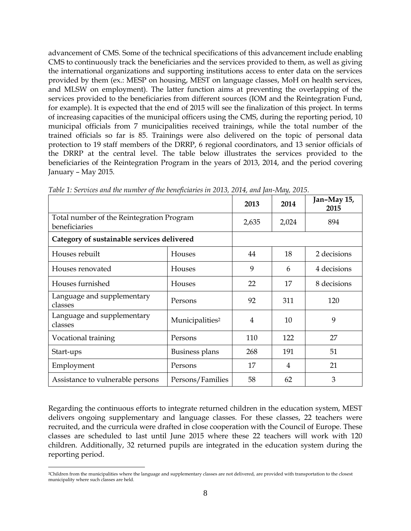advancement of CMS. Some of the technical specifications of this advancement include enabling CMS to continuously track the beneficiaries and the services provided to them, as well as giving the international organizations and supporting institutions access to enter data on the services provided by them (ex.: MESP on housing, MEST on language classes, MoH on health services, and MLSW on employment). The latter function aims at preventing the overlapping of the services provided to the beneficiaries from different sources (IOM and the Reintegration Fund, for example). It is expected that the end of 2015 will see the finalization of this project. In terms of increasing capacities of the municipal officers using the CMS, during the reporting period, 10 municipal officials from 7 municipalities received trainings, while the total number of the trained officials so far is 85. Trainings were also delivered on the topic of personal data protection to 19 staff members of the DRRP, 6 regional coordinators, and 13 senior officials of the DRRP at the central level. The table below illustrates the services provided to the beneficiaries of the Reintegration Program in the years of 2013, 2014, and the period covering January – May 2015.

|                                                            |                             | 2013           | 2014 | Jan-May 15,<br>2015 |
|------------------------------------------------------------|-----------------------------|----------------|------|---------------------|
| Total number of the Reintegration Program<br>beneficiaries | 2,635                       | 2,024          | 894  |                     |
| Category of sustainable services delivered                 |                             |                |      |                     |
| Houses rebuilt                                             | Houses                      | 44             | 18   | 2 decisions         |
| Houses renovated                                           | Houses                      | 9              | 6    | 4 decisions         |
| Houses furnished                                           | Houses                      | 22             | 17   | 8 decisions         |
| Language and supplementary<br>classes                      | Persons                     | 92             | 311  | 120                 |
| Language and supplementary<br>classes                      | Municipalities <sup>2</sup> | $\overline{4}$ | 10   | 9                   |
| Vocational training                                        | Persons                     | 110            | 122  | 27                  |
| Start-ups                                                  | <b>Business plans</b>       | 268            | 191  | 51                  |
| Employment                                                 | Persons                     | 17             | 4    | 21                  |
| Assistance to vulnerable persons                           | Persons/Families            | 58             | 62   | 3                   |

*Table 1: Services and the number of the beneficiaries in 2013, 2014, and Jan-May, 2015.*

Regarding the continuous efforts to integrate returned children in the education system, MEST delivers ongoing supplementary and language classes. For these classes, 22 teachers were recruited, and the curricula were drafted in close cooperation with the Council of Europe. These classes are scheduled to last until June 2015 where these 22 teachers will work with 120 children. Additionally, 32 returned pupils are integrated in the education system during the reporting period.

 $\overline{a}$ 

<sup>2</sup>Children from the municipalities where the language and supplementary classes are not delivered, are provided with transportation to the closest municipality where such classes are held.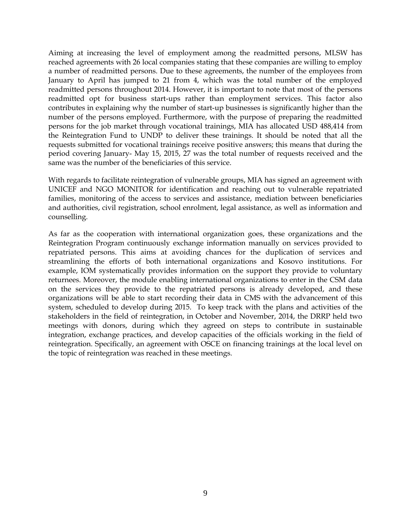Aiming at increasing the level of employment among the readmitted persons, MLSW has reached agreements with 26 local companies stating that these companies are willing to employ a number of readmitted persons. Due to these agreements, the number of the employees from January to April has jumped to 21 from 4, which was the total number of the employed readmitted persons throughout 2014. However, it is important to note that most of the persons readmitted opt for business start-ups rather than employment services. This factor also contributes in explaining why the number of start-up businesses is significantly higher than the number of the persons employed. Furthermore, with the purpose of preparing the readmitted persons for the job market through vocational trainings, MIA has allocated USD 488,414 from the Reintegration Fund to UNDP to deliver these trainings. It should be noted that all the requests submitted for vocational trainings receive positive answers; this means that during the period covering January- May 15, 2015, 27 was the total number of requests received and the same was the number of the beneficiaries of this service.

With regards to facilitate reintegration of vulnerable groups, MIA has signed an agreement with UNICEF and NGO MONITOR for identification and reaching out to vulnerable repatriated families, monitoring of the access to services and assistance, mediation between beneficiaries and authorities, civil registration, school enrolment, legal assistance, as well as information and counselling.

As far as the cooperation with international organization goes, these organizations and the Reintegration Program continuously exchange information manually on services provided to repatriated persons. This aims at avoiding chances for the duplication of services and streamlining the efforts of both international organizations and Kosovo institutions. For example, IOM systematically provides information on the support they provide to voluntary returnees. Moreover, the module enabling international organizations to enter in the CSM data on the services they provide to the repatriated persons is already developed, and these organizations will be able to start recording their data in CMS with the advancement of this system, scheduled to develop during 2015. To keep track with the plans and activities of the stakeholders in the field of reintegration, in October and November, 2014, the DRRP held two meetings with donors, during which they agreed on steps to contribute in sustainable integration, exchange practices, and develop capacities of the officials working in the field of reintegration. Specifically, an agreement with OSCE on financing trainings at the local level on the topic of reintegration was reached in these meetings.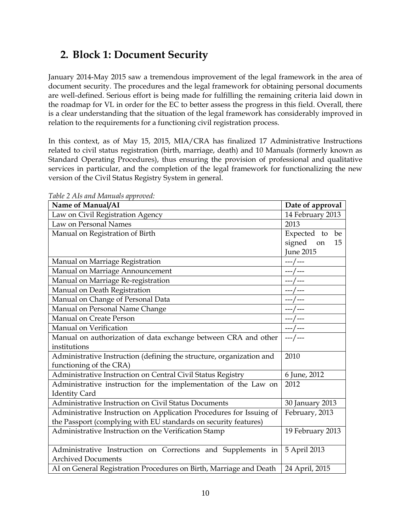## <span id="page-9-0"></span>**2. Block 1: Document Security**

January 2014-May 2015 saw a tremendous improvement of the legal framework in the area of document security. The procedures and the legal framework for obtaining personal documents are well-defined. Serious effort is being made for fulfilling the remaining criteria laid down in the roadmap for VL in order for the EC to better assess the progress in this field. Overall, there is a clear understanding that the situation of the legal framework has considerably improved in relation to the requirements for a functioning civil registration process.

In this context, as of May 15, 2015, MIA/CRA has finalized 17 Administrative Instructions related to civil status registration (birth, marriage, death) and 10 Manuals (formerly known as Standard Operating Procedures), thus ensuring the provision of professional and qualitative services in particular, and the completion of the legal framework for functionalizing the new version of the Civil Status Registry System in general.

| raoic 2 r $\mu$ and retainance approved.<br>Name of Manual/AI        | Date of approval |
|----------------------------------------------------------------------|------------------|
| Law on Civil Registration Agency                                     | 14 February 2013 |
| Law on Personal Names                                                | 2013             |
| Manual on Registration of Birth                                      | Expected to be   |
|                                                                      | signed on<br>15  |
|                                                                      | <b>June 2015</b> |
| Manual on Marriage Registration                                      | $---/---$        |
| Manual on Marriage Announcement                                      |                  |
| Manual on Marriage Re-registration                                   | ---/---          |
| Manual on Death Registration                                         |                  |
| Manual on Change of Personal Data                                    | --- / ---        |
| Manual on Personal Name Change                                       | ---/---          |
| Manual on Create Person                                              | --- / ---        |
| Manual on Verification                                               | ---/---          |
| Manual on authorization of data exchange between CRA and other       | ---/---          |
| institutions                                                         |                  |
| Administrative Instruction (defining the structure, organization and | 2010             |
| functioning of the CRA)                                              |                  |
| Administrative Instruction on Central Civil Status Registry          | 6 June, 2012     |
| Administrative instruction for the implementation of the Law on      | 2012             |
| <b>Identity Card</b>                                                 |                  |
| Administrative Instruction on Civil Status Documents                 | 30 January 2013  |
| Administrative Instruction on Application Procedures for Issuing of  | February, 2013   |
| the Passport (complying with EU standards on security features)      |                  |
| Administrative Instruction on the Verification Stamp                 | 19 February 2013 |
|                                                                      |                  |
| Administrative Instruction on Corrections and Supplements in         | 5 April 2013     |
| <b>Archived Documents</b>                                            |                  |
| AI on General Registration Procedures on Birth, Marriage and Death   | 24 April, 2015   |

*Table 2 AIs and Manuals approved:*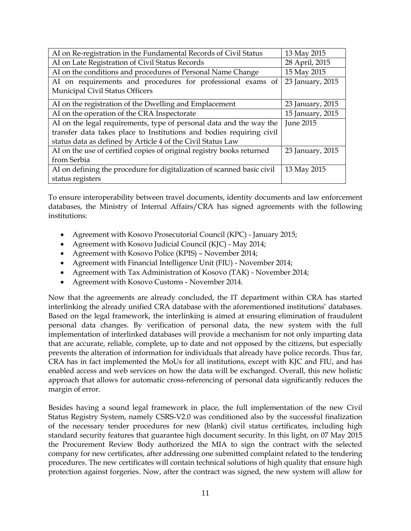| AI on Re-registration in the Fundamental Records of Civil Status       | 13 May 2015      |
|------------------------------------------------------------------------|------------------|
| AI on Late Registration of Civil Status Records                        | 28 April, 2015   |
| AI on the conditions and procedures of Personal Name Change            | 15 May 2015      |
| AI on requirements and procedures for professional exams of            | 23 January, 2015 |
| Municipal Civil Status Officers                                        |                  |
| AI on the registration of the Dwelling and Emplacement                 | 23 January, 2015 |
| AI on the operation of the CRA Inspectorate                            | 15 January, 2015 |
| AI on the legal requirements, type of personal data and the way the    | <b>June 2015</b> |
| transfer data takes place to Institutions and bodies requiring civil   |                  |
| status data as defined by Article 4 of the Civil Status Law            |                  |
| AI on the use of certified copies of original registry books returned  | 23 January, 2015 |
| from Serbia                                                            |                  |
| AI on defining the procedure for digitalization of scanned basic civil | 13 May 2015      |
| status registers                                                       |                  |

To ensure interoperability between travel documents, identity documents and law enforcement databases, the Ministry of Internal Affairs/CRA has signed agreements with the following institutions:

- Agreement with Kosovo Prosecutorial Council (KPC) January 2015;
- Agreement with Kosovo Judicial Council (KJC) May 2014;
- Agreement with Kosovo Police (KPIS) November 2014;
- Agreement with Financial Intelligence Unit (FIU) November 2014;
- Agreement with Tax Administration of Kosovo (TAK) November 2014;
- Agreement with Kosovo Customs November 2014.

Now that the agreements are already concluded, the IT department within CRA has started interlinking the already unified CRA database with the aforementioned institutions' databases. Based on the legal framework, the interlinking is aimed at ensuring elimination of fraudulent personal data changes. By verification of personal data, the new system with the full implementation of interlinked databases will provide a mechanism for not only imparting data that are accurate, reliable, complete, up to date and not opposed by the citizens, but especially prevents the alteration of information for individuals that already have police records. Thus far, CRA has in fact implemented the MoUs for all institutions, except with KJC and FIU, and has enabled access and web services on how the data will be exchanged. Overall, this new holistic approach that allows for automatic cross-referencing of personal data significantly reduces the margin of error.

Besides having a sound legal framework in place, the full implementation of the new Civil Status Registry System, namely CSRS-V2.0 was conditioned also by the successful finalization of the necessary tender procedures for new (blank) civil status certificates, including high standard security features that guarantee high document security. In this light, on 07 May 2015 the Procurement Review Body authorized the MIA to sign the contract with the selected company for new certificates, after addressing one submitted complaint related to the tendering procedures. The new certificates will contain technical solutions of high quality that ensure high protection against forgeries. Now, after the contract was signed, the new system will allow for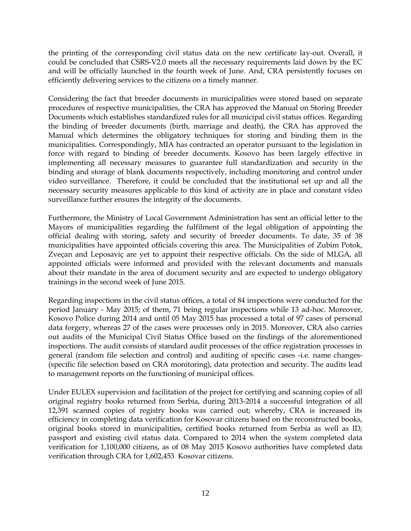the printing of the corresponding civil status data on the new certificate lay-out. Overall, it could be concluded that CSRS-V2.0 meets all the necessary requirements laid down by the EC and will be officially launched in the fourth week of June. And, CRA persistently focuses on efficiently delivering services to the citizens on a timely manner.

Considering the fact that breeder documents in municipalities were stored based on separate procedures of respective municipalities, the CRA has approved the Manual on Storing Breeder Documents which establishes standardized rules for all municipal civil status offices. Regarding the binding of breeder documents (birth, marriage and death), the CRA has approved the Manual which determines the obligatory techniques for storing and binding them in the municipalities. Correspondingly, MIA has contracted an operator pursuant to the legislation in force with regard to binding of breeder documents. Kosovo has been largely effective in implementing all necessary measures to guarantee full standardization and security in the binding and storage of blank documents respectively, including monitoring and control under video surveillance. Therefore, it could be concluded that the institutional set up and all the necessary security measures applicable to this kind of activity are in place and constant video surveillance further ensures the integrity of the documents.

Furthermore, the Ministry of Local Government Administration has sent an official letter to the Mayors of municipalities regarding the fulfilment of the legal obligation of appointing the official dealing with storing, safety and security of breeder documents. To date, 35 of 38 municipalities have appointed officials covering this area. The Municipalities of Zubim Potok, Zveçan and Leposaviç are yet to appoint their respective officials. On the side of MLGA, all appointed officials were informed and provided with the relevant documents and manuals about their mandate in the area of document security and are expected to undergo obligatory trainings in the second week of June 2015.

Regarding inspections in the civil status offices, a total of 84 inspections were conducted for the period January - May 2015; of them, 71 being regular inspections while 13 ad-hoc. Moreover, Kosovo Police during 2014 and until 05 May 2015 has processed a total of 97 cases of personal data forgery, whereas 27 of the cases were processes only in 2015. Moreover, CRA also carries out audits of the Municipal Civil Status Office based on the findings of the aforementioned inspections. The audit consists of standard audit processes of the office registration processes in general (random file selection and control) and auditing of specific cases -i.e. name changes- (specific file selection based on CRA monitoring), data protection and security. The audits lead to management reports on the functioning of municipal offices.

Under EULEX supervision and facilitation of the project for certifying and scanning copies of all original registry books returned from Serbia, during 2013-2014 a successful integration of all 12,391 scanned copies of registry books was carried out; whereby, CRA is increased its efficiency in completing data verification for Kosovar citizens based on the reconstructed books, original books stored in municipalities, certified books returned from Serbia as well as ID, passport and existing civil status data. Compared to 2014 when the system completed data verification for 1,100,000 citizens, as of 08 May 2015 Kosovo authorities have completed data verification through CRA for 1,602,453 Kosovar citizens.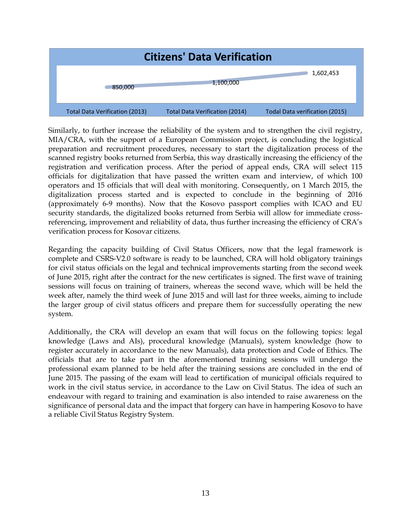| <b>Citizens' Data Verification</b> |                                       |                                       |                                |  |  |
|------------------------------------|---------------------------------------|---------------------------------------|--------------------------------|--|--|
|                                    | 850,000                               | 1,100,000                             | 1,602,453                      |  |  |
|                                    | <b>Total Data Verification (2013)</b> | <b>Total Data Verification (2014)</b> | Todal Data verification (2015) |  |  |

Similarly, to further increase the reliability of the system and to strengthen the civil registry, MIA/CRA, with the support of a European Commission project, is concluding the logistical preparation and recruitment procedures, necessary to start the digitalization process of the scanned registry books returned from Serbia, this way drastically increasing the efficiency of the registration and verification process. After the period of appeal ends, CRA will select 115 officials for digitalization that have passed the written exam and interview, of which 100 operators and 15 officials that will deal with monitoring. Consequently, on 1 March 2015, the digitalization process started and is expected to conclude in the beginning of 2016 (approximately 6-9 months). Now that the Kosovo passport complies with ICAO and EU security standards, the digitalized books returned from Serbia will allow for immediate crossreferencing, improvement and reliability of data, thus further increasing the efficiency of CRA's verification process for Kosovar citizens.

Regarding the capacity building of Civil Status Officers, now that the legal framework is complete and CSRS-V2.0 software is ready to be launched, CRA will hold obligatory trainings for civil status officials on the legal and technical improvements starting from the second week of June 2015, right after the contract for the new certificates is signed. The first wave of training sessions will focus on training of trainers, whereas the second wave, which will be held the week after, namely the third week of June 2015 and will last for three weeks, aiming to include the larger group of civil status officers and prepare them for successfully operating the new system.

Additionally, the CRA will develop an exam that will focus on the following topics: legal knowledge (Laws and AIs), procedural knowledge (Manuals), system knowledge (how to register accurately in accordance to the new Manuals), data protection and Code of Ethics. The officials that are to take part in the aforementioned training sessions will undergo the professional exam planned to be held after the training sessions are concluded in the end of June 2015. The passing of the exam will lead to certification of municipal officials required to work in the civil status service, in accordance to the Law on Civil Status. The idea of such an endeavour with regard to training and examination is also intended to raise awareness on the significance of personal data and the impact that forgery can have in hampering Kosovo to have a reliable Civil Status Registry System.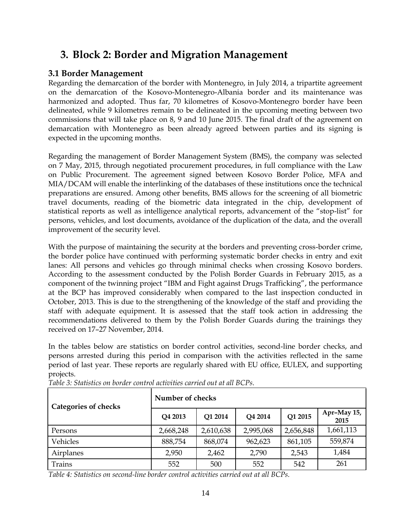## <span id="page-13-0"></span>**3. Block 2: Border and Migration Management**

## <span id="page-13-1"></span>**3.1 Border Management**

Regarding the demarcation of the border with Montenegro, in July 2014, a tripartite agreement on the demarcation of the Kosovo-Montenegro-Albania border and its maintenance was harmonized and adopted. Thus far, 70 kilometres of Kosovo-Montenegro border have been delineated, while 9 kilometres remain to be delineated in the upcoming meeting between two commissions that will take place on 8, 9 and 10 June 2015. The final draft of the agreement on demarcation with Montenegro as been already agreed between parties and its signing is expected in the upcoming months.

Regarding the management of Border Management System (BMS), the company was selected on 7 May, 2015, through negotiated procurement procedures, in full compliance with the Law on Public Procurement. The agreement signed between Kosovo Border Police, MFA and MIA/DCAM will enable the interlinking of the databases of these institutions once the technical preparations are ensured. Among other benefits, BMS allows for the screening of all biometric travel documents, reading of the biometric data integrated in the chip, development of statistical reports as well as intelligence analytical reports, advancement of the "stop-list" for persons, vehicles, and lost documents, avoidance of the duplication of the data, and the overall improvement of the security level.

With the purpose of maintaining the security at the borders and preventing cross-border crime, the border police have continued with performing systematic border checks in entry and exit lanes: All persons and vehicles go through minimal checks when crossing Kosovo borders. According to the assessment conducted by the Polish Border Guards in February 2015, as a component of the twinning project "IBM and Fight against Drugs Trafficking", the performance at the BCP has improved considerably when compared to the last inspection conducted in October, 2013. This is due to the strengthening of the knowledge of the staff and providing the staff with adequate equipment. It is assessed that the staff took action in addressing the recommendations delivered to them by the Polish Border Guards during the trainings they received on 17–27 November, 2014.

In the tables below are statistics on border control activities, second-line border checks, and persons arrested during this period in comparison with the activities reflected in the same period of last year. These reports are regularly shared with EU office, EULEX, and supporting projects.

| <b>Categories of checks</b> | Number of checks |           |           |           |                     |  |  |
|-----------------------------|------------------|-----------|-----------|-----------|---------------------|--|--|
|                             | Q4 2013          | Q1 2014   | Q4 2014   | Q1 2015   | Apr-May 15,<br>2015 |  |  |
| Persons                     | 2,668,248        | 2,610,638 | 2,995,068 | 2,656,848 | 1,661,113           |  |  |
| Vehicles                    | 888,754          | 868,074   | 962,623   | 861,105   | 559,874             |  |  |
| Airplanes                   | 2,950            | 2,462     | 2,790     | 2,543     | 1,484               |  |  |
| <b>Trains</b>               | 552              | 500       | 552       | 542       | 261                 |  |  |

*Table 3: Statistics on border control activities carried out at all BCPs.*

*Table 4: Statistics on second-line border control activities carried out at all BCPs.*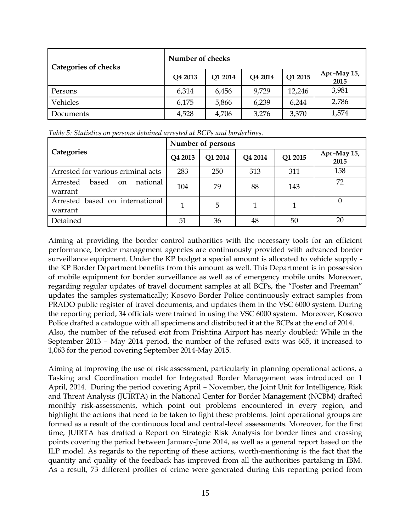| <b>Categories of checks</b> | Number of checks |         |         |         |                     |
|-----------------------------|------------------|---------|---------|---------|---------------------|
|                             | Q4 2013          | Q1 2014 | Q4 2014 | Q1 2015 | Apr-May 15,<br>2015 |
| Persons                     | 6,314            | 6,456   | 9,729   | 12,246  | 3,981               |
| Vehicles                    | 6,175            | 5,866   | 6,239   | 6,244   | 2,786               |
| Documents                   | 4,528            | 4,706   | 3,276   | 3,370   | 1,574               |

*Table 5: Statistics on persons detained arrested at BCPs and borderlines.*

|                                                | Number of persons |         |                |         |                     |  |
|------------------------------------------------|-------------------|---------|----------------|---------|---------------------|--|
| Categories                                     | Q4 2013           | Q1 2014 | <b>Q4 2014</b> | Q1 2015 | Apr-May 15,<br>2015 |  |
| Arrested for various criminal acts             | 283               | 250     | 313            | 311     | 158                 |  |
| national<br>Arrested<br>based<br>on<br>warrant | 104               | 79      | 88             | 143     | 72                  |  |
| Arrested based on international<br>warrant     |                   | 5       | 1              |         |                     |  |
| Detained                                       | 51                | 36      | 48             | 50      | 20                  |  |

Aiming at providing the border control authorities with the necessary tools for an efficient performance, border management agencies are continuously provided with advanced border surveillance equipment. Under the KP budget a special amount is allocated to vehicle supply the KP Border Department benefits from this amount as well. This Department is in possession of mobile equipment for border surveillance as well as of emergency mobile units. Moreover, regarding regular updates of travel document samples at all BCPs, the "Foster and Freeman" updates the samples systematically; Kosovo Border Police continuously extract samples from PRADO public register of travel documents, and updates them in the VSC 6000 system. During the reporting period, 34 officials were trained in using the VSC 6000 system. Moreover, Kosovo Police drafted a catalogue with all specimens and distributed it at the BCPs at the end of 2014. Also, the number of the refused exit from Prishtina Airport has nearly doubled: While in the September 2013 – May 2014 period, the number of the refused exits was 665, it increased to 1,063 for the period covering September 2014-May 2015.

Aiming at improving the use of risk assessment, particularly in planning operational actions, a Tasking and Coordination model for Integrated Border Management was introduced on 1 April, 2014. During the period covering April – November, the Joint Unit for Intelligence, Risk and Threat Analysis (JUIRTA) in the National Center for Border Management (NCBM) drafted monthly risk-assessments, which point out problems encountered in every region, and highlight the actions that need to be taken to fight these problems. Joint operational groups are formed as a result of the continuous local and central-level assessments. Moreover, for the first time, JUIRTA has drafted a Report on Strategic Risk Analysis for border lines and crossing points covering the period between January-June 2014, as well as a general report based on the ILP model. As regards to the reporting of these actions, worth-mentioning is the fact that the quantity and quality of the feedback has improved from all the authorities partaking in IBM. As a result, 73 different profiles of crime were generated during this reporting period from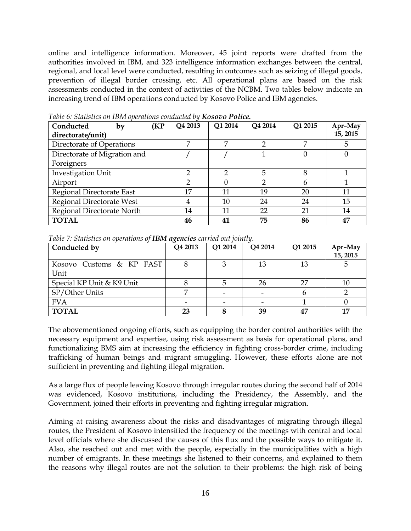online and intelligence information. Moreover, 45 joint reports were drafted from the authorities involved in IBM, and 323 intelligence information exchanges between the central, regional, and local level were conducted, resulting in outcomes such as seizing of illegal goods, prevention of illegal border crossing, etc. All operational plans are based on the risk assessments conducted in the context of activities of the NCBM. Two tables below indicate an increasing trend of IBM operations conducted by Kosovo Police and IBM agencies.

| Conducted<br>(KP<br>by       | Q4 2013 | Q1 2014 | Q4 2014 | Q1 2015 | Apr-May  |
|------------------------------|---------|---------|---------|---------|----------|
| directorate/unit)            |         |         |         |         | 15, 2015 |
| Directorate of Operations    | 7       |         |         | 7       | 5        |
| Directorate of Migration and |         |         |         |         |          |
| Foreigners                   |         |         |         |         |          |
| Investigation Unit           |         |         | 5       | 8       |          |
| Airport                      |         |         |         | h       |          |
| Regional Directorate East    | 17      | 11      | 19      | 20      | 11       |
| Regional Directorate West    |         | 10      | 24      | 24      | 15       |
| Regional Directorate North   | 14      | 11      | 22      | 21      | 14       |
| <b>TOTAL</b>                 | 46      | 41      | 75      | 86      | 47       |

*Table 6: Statistics on IBM operations conducted by Kosovo Police.*

| Table 7: Statistics on operations of <b>IBM agencies</b> carried out jointly. |  |  |  |  |
|-------------------------------------------------------------------------------|--|--|--|--|
|-------------------------------------------------------------------------------|--|--|--|--|

| Conducted by                     | Q4 2013 | Q1 2014 | Q4 2014                  | Q1 2015 | Apr-May<br>15, 2015 |
|----------------------------------|---------|---------|--------------------------|---------|---------------------|
| Kosovo Customs & KP FAST<br>Unit |         |         | 13                       | 13      |                     |
| Special KP Unit & K9 Unit        |         |         | 26                       | 27      | $10\,$              |
| SP/Other Units                   |         |         | $\overline{\phantom{0}}$ |         |                     |
| <b>FVA</b>                       |         |         |                          |         |                     |
| <b>TOTAL</b>                     | 23      |         | 39                       | 47      |                     |

The abovementioned ongoing efforts, such as equipping the border control authorities with the necessary equipment and expertise, using risk assessment as basis for operational plans, and functionalizing BMS aim at increasing the efficiency in fighting cross-border crime, including trafficking of human beings and migrant smuggling. However, these efforts alone are not sufficient in preventing and fighting illegal migration.

As a large flux of people leaving Kosovo through irregular routes during the second half of 2014 was evidenced, Kosovo institutions, including the Presidency, the Assembly, and the Government, joined their efforts in preventing and fighting irregular migration.

Aiming at raising awareness about the risks and disadvantages of migrating through illegal routes, the President of Kosovo intensified the frequency of the meetings with central and local level officials where she discussed the causes of this flux and the possible ways to mitigate it. Also, she reached out and met with the people, especially in the municipalities with a high number of emigrants. In these meetings she listened to their concerns, and explained to them the reasons why illegal routes are not the solution to their problems: the high risk of being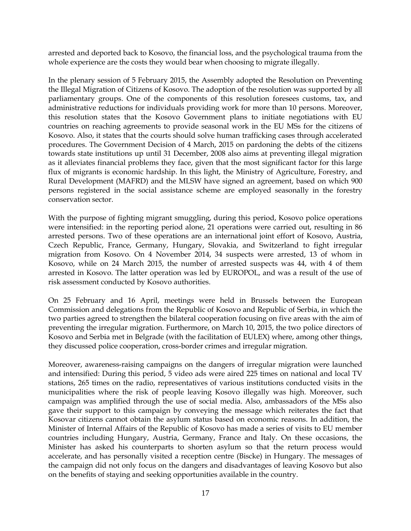arrested and deported back to Kosovo, the financial loss, and the psychological trauma from the whole experience are the costs they would bear when choosing to migrate illegally.

In the plenary session of 5 February 2015, the Assembly adopted the Resolution on Preventing the Illegal Migration of Citizens of Kosovo. The adoption of the resolution was supported by all parliamentary groups. One of the components of this resolution foresees customs, tax, and administrative reductions for individuals providing work for more than 10 persons. Moreover, this resolution states that the Kosovo Government plans to initiate negotiations with EU countries on reaching agreements to provide seasonal work in the EU MSs for the citizens of Kosovo. Also, it states that the courts should solve human trafficking cases through accelerated procedures. The Government Decision of 4 March, 2015 on pardoning the debts of the citizens towards state institutions up until 31 December, 2008 also aims at preventing illegal migration as it alleviates financial problems they face, given that the most significant factor for this large flux of migrants is economic hardship. In this light, the Ministry of Agriculture, Forestry, and Rural Development (MAFRD) and the MLSW have signed an agreement, based on which 900 persons registered in the social assistance scheme are employed seasonally in the forestry conservation sector.

With the purpose of fighting migrant smuggling, during this period, Kosovo police operations were intensified: in the reporting period alone, 21 operations were carried out, resulting in 86 arrested persons. Two of these operations are an international joint effort of Kosovo, Austria, Czech Republic, France, Germany, Hungary, Slovakia, and Switzerland to fight irregular migration from Kosovo. On 4 November 2014, 34 suspects were arrested, 13 of whom in Kosovo, while on 24 March 2015, the number of arrested suspects was 44, with 4 of them arrested in Kosovo. The latter operation was led by EUROPOL, and was a result of the use of risk assessment conducted by Kosovo authorities.

On 25 February and 16 April, meetings were held in Brussels between the European Commission and delegations from the Republic of Kosovo and Republic of Serbia, in which the two parties agreed to strengthen the bilateral cooperation focusing on five areas with the aim of preventing the irregular migration. Furthermore, on March 10, 2015, the two police directors of Kosovo and Serbia met in Belgrade (with the facilitation of EULEX) where, among other things, they discussed police cooperation, cross-border crimes and irregular migration.

Moreover, awareness-raising campaigns on the dangers of irregular migration were launched and intensified: During this period, 5 video ads were aired 225 times on national and local TV stations, 265 times on the radio, representatives of various institutions conducted visits in the municipalities where the risk of people leaving Kosovo illegally was high. Moreover, such campaign was amplified through the use of social media. Also, ambassadors of the MSs also gave their support to this campaign by conveying the message which reiterates the fact that Kosovar citizens cannot obtain the asylum status based on economic reasons. In addition, the Minister of Internal Affairs of the Republic of Kosovo has made a series of visits to EU member countries including Hungary, Austria, Germany, France and Italy. On these occasions, the Minister has asked his counterparts to shorten asylum so that the return process would accelerate, and has personally visited a reception centre (Biscke) in Hungary. The messages of the campaign did not only focus on the dangers and disadvantages of leaving Kosovo but also on the benefits of staying and seeking opportunities available in the country.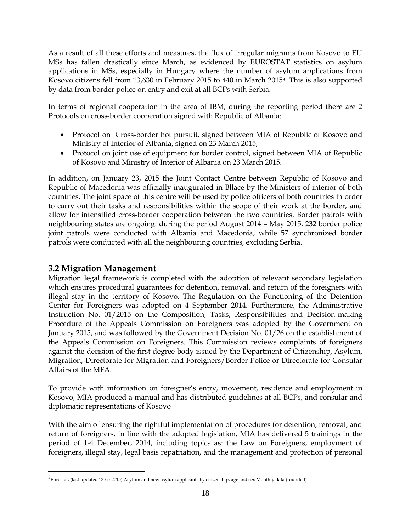As a result of all these efforts and measures, the flux of irregular migrants from Kosovo to EU MSs has fallen drastically since March, as evidenced by EUROSTAT statistics on asylum applications in MSs, especially in Hungary where the number of asylum applications from Kosovo citizens fell from 13,630 in February 2015 to 440 in March 20153. This is also supported by data from border police on entry and exit at all BCPs with Serbia.

In terms of regional cooperation in the area of IBM, during the reporting period there are 2 Protocols on cross-border cooperation signed with Republic of Albania:

- Protocol on Cross-border hot pursuit, signed between MIA of Republic of Kosovo and Ministry of Interior of Albania, signed on 23 March 2015;
- Protocol on joint use of equipment for border control, signed between MIA of Republic of Kosovo and Ministry of Interior of Albania on 23 March 2015.

In addition, on January 23, 2015 the Joint Contact Centre between Republic of Kosovo and Republic of Macedonia was officially inaugurated in Bllace by the Ministers of interior of both countries. The joint space of this centre will be used by police officers of both countries in order to carry out their tasks and responsibilities within the scope of their work at the border, and allow for intensified cross-border cooperation between the two countries. Border patrols with neighbouring states are ongoing: during the period August 2014 – May 2015, 232 border police joint patrols were conducted with Albania and Macedonia, while 57 synchronized border patrols were conducted with all the neighbouring countries, excluding Serbia.

### <span id="page-17-0"></span>**3.2 Migration Management**

 $\overline{a}$ 

Migration legal framework is completed with the adoption of relevant secondary legislation which ensures procedural guarantees for detention, removal, and return of the foreigners with illegal stay in the territory of Kosovo. The Regulation on the Functioning of the Detention Center for Foreigners was adopted on 4 September 2014. Furthermore, the Administrative Instruction No. 01/2015 on the Composition, Tasks, Responsibilities and Decision-making Procedure of the Appeals Commission on Foreigners was adopted by the Government on January 2015, and was followed by the Government Decision No. 01/26 on the establishment of the Appeals Commission on Foreigners. This Commission reviews complaints of foreigners against the decision of the first degree body issued by the Department of Citizenship, Asylum, Migration, Directorate for Migration and Foreigners/Border Police or Directorate for Consular Affairs of the MFA.

To provide with information on foreigner's entry, movement, residence and employment in Kosovo, MIA produced a manual and has distributed guidelines at all BCPs, and consular and diplomatic representations of Kosovo

With the aim of ensuring the rightful implementation of procedures for detention, removal, and return of foreigners, in line with the adopted legislation, MIA has delivered 5 trainings in the period of 1-4 December, 2014, including topics as: the Law on Foreigners, employment of foreigners, illegal stay, legal basis repatriation, and the management and protection of personal

 $^3$ Eurostat, (last updated 13-05-2015) Asylum and new asylum applicants by citizenship, age and sex Monthly data (rounded)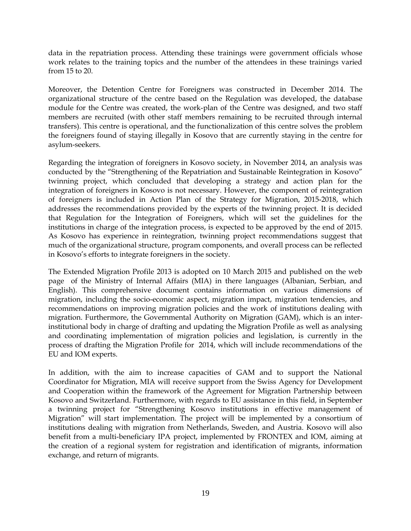data in the repatriation process. Attending these trainings were government officials whose work relates to the training topics and the number of the attendees in these trainings varied from 15 to 20.

Moreover, the Detention Centre for Foreigners was constructed in December 2014. The organizational structure of the centre based on the Regulation was developed, the database module for the Centre was created, the work-plan of the Centre was designed, and two staff members are recruited (with other staff members remaining to be recruited through internal transfers). This centre is operational, and the functionalization of this centre solves the problem the foreigners found of staying illegally in Kosovo that are currently staying in the centre for asylum-seekers.

Regarding the integration of foreigners in Kosovo society, in November 2014, an analysis was conducted by the "Strengthening of the Repatriation and Sustainable Reintegration in Kosovo" twinning project, which concluded that developing a strategy and action plan for the integration of foreigners in Kosovo is not necessary. However, the component of reintegration of foreigners is included in Action Plan of the Strategy for Migration, 2015-2018, which addresses the recommendations provided by the experts of the twinning project. It is decided that Regulation for the Integration of Foreigners, which will set the guidelines for the institutions in charge of the integration process, is expected to be approved by the end of 2015. As Kosovo has experience in reintegration, twinning project recommendations suggest that much of the organizational structure, program components, and overall process can be reflected in Kosovo's efforts to integrate foreigners in the society.

The Extended Migration Profile 2013 is adopted on 10 March 2015 and published on the web page of the Ministry of Internal Affairs (MIA) in there languages (Albanian, Serbian, and English). This comprehensive document contains information on various dimensions of migration, including the socio-economic aspect, migration impact, migration tendencies, and recommendations on improving migration policies and the work of institutions dealing with migration. Furthermore, the Governmental Authority on Migration (GAM), which is an interinstitutional body in charge of drafting and updating the Migration Profile as well as analysing and coordinating implementation of migration policies and legislation, is currently in the process of drafting the Migration Profile for 2014, which will include recommendations of the EU and IOM experts.

In addition, with the aim to increase capacities of GAM and to support the National Coordinator for Migration, MIA will receive support from the Swiss Agency for Development and Cooperation within the framework of the Agreement for Migration Partnership between Kosovo and Switzerland. Furthermore, with regards to EU assistance in this field, in September a twinning project for "Strengthening Kosovo institutions in effective management of Migration" will start implementation. The project will be implemented by a consortium of institutions dealing with migration from Netherlands, Sweden, and Austria. Kosovo will also benefit from a multi-beneficiary IPA project, implemented by FRONTEX and IOM, aiming at the creation of a regional system for registration and identification of migrants, information exchange, and return of migrants.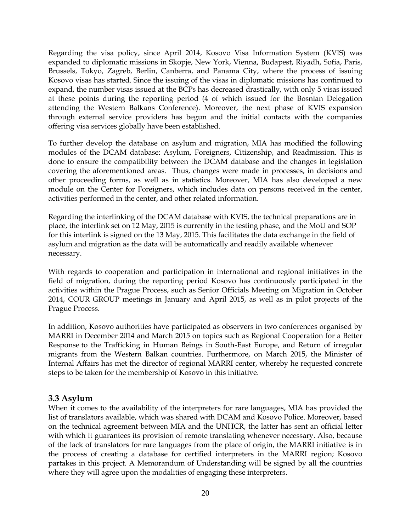Regarding the visa policy, since April 2014, Kosovo Visa Information System (KVIS) was expanded to diplomatic missions in Skopje, New York, Vienna, Budapest, Riyadh, Sofia, Paris, Brussels, Tokyo, Zagreb, Berlin, Canberra, and Panama City, where the process of issuing Kosovo visas has started. Since the issuing of the visas in diplomatic missions has continued to expand, the number visas issued at the BCPs has decreased drastically, with only 5 visas issued at these points during the reporting period (4 of which issued for the Bosnian Delegation attending the Western Balkans Conference). Moreover, the next phase of KVIS expansion through external service providers has begun and the initial contacts with the companies offering visa services globally have been established.

To further develop the database on asylum and migration, MIA has modified the following modules of the DCAM database: Asylum, Foreigners, Citizenship, and Readmission. This is done to ensure the compatibility between the DCAM database and the changes in legislation covering the aforementioned areas. Thus, changes were made in processes, in decisions and other proceeding forms, as well as in statistics. Moreover, MIA has also developed a new module on the Center for Foreigners, which includes data on persons received in the center, activities performed in the center, and other related information.

Regarding the interlinking of the DCAM database with KVIS, the technical preparations are in place, the interlink set on 12 May, 2015 is currently in the testing phase, and the MoU and SOP for this interlink is signed on the 13 May, 2015. This facilitates the data exchange in the field of asylum and migration as the data will be automatically and readily available whenever necessary.

With regards to cooperation and participation in international and regional initiatives in the field of migration, during the reporting period Kosovo has continuously participated in the activities within the Prague Process, such as Senior Officials Meeting on Migration in October 2014, COUR GROUP meetings in January and April 2015, as well as in pilot projects of the Prague Process.

In addition, Kosovo authorities have participated as observers in two conferences organised by MARRI in December 2014 and March 2015 on topics such as Regional Cooperation for a Better Response to the Trafficking in Human Beings in South-East Europe, and Return of irregular migrants from the Western Balkan countries. Furthermore, on March 2015, the Minister of Internal Affairs has met the director of regional MARRI center, whereby he requested concrete steps to be taken for the membership of Kosovo in this initiative.

#### <span id="page-19-0"></span>**3.3 Asylum**

When it comes to the availability of the interpreters for rare languages, MIA has provided the list of translators available, which was shared with DCAM and Kosovo Police. Moreover, based on the technical agreement between MIA and the UNHCR, the latter has sent an official letter with which it guarantees its provision of remote translating whenever necessary. Also, because of the lack of translators for rare languages from the place of origin, the MARRI initiative is in the process of creating a database for certified interpreters in the MARRI region; Kosovo partakes in this project. A Memorandum of Understanding will be signed by all the countries where they will agree upon the modalities of engaging these interpreters.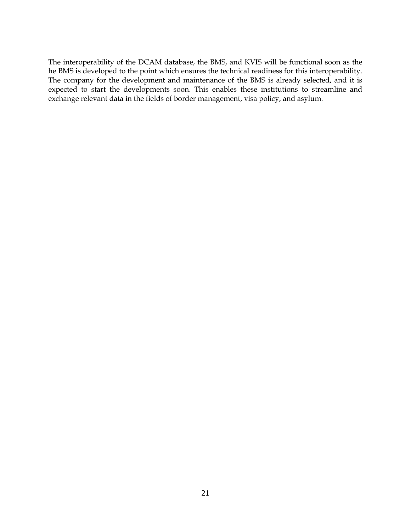The interoperability of the DCAM database, the BMS, and KVIS will be functional soon as the he BMS is developed to the point which ensures the technical readiness for this interoperability. The company for the development and maintenance of the BMS is already selected, and it is expected to start the developments soon. This enables these institutions to streamline and exchange relevant data in the fields of border management, visa policy, and asylum.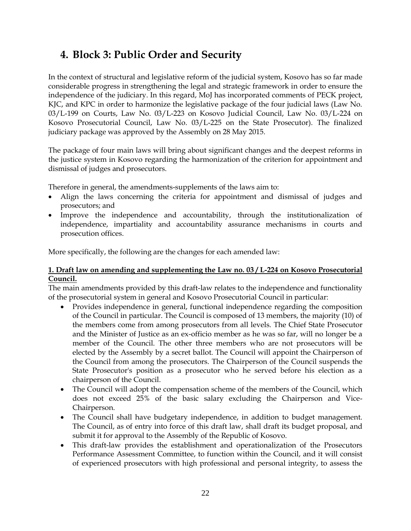## <span id="page-21-0"></span>**4. Block 3: Public Order and Security**

In the context of structural and legislative reform of the judicial system, Kosovo has so far made considerable progress in strengthening the legal and strategic framework in order to ensure the independence of the judiciary. In this regard, MoJ has incorporated comments of PECK project, KJC, and KPC in order to harmonize the legislative package of the four judicial laws (Law No. 03/L-199 on Courts, Law No. 03/L-223 on Kosovo Judicial Council, Law No. 03/L-224 on Kosovo Prosecutorial Council, Law No. 03/L-225 on the State Prosecutor). The finalized judiciary package was approved by the Assembly on 28 May 2015.

The package of four main laws will bring about significant changes and the deepest reforms in the justice system in Kosovo regarding the harmonization of the criterion for appointment and dismissal of judges and prosecutors.

Therefore in general, the amendments-supplements of the laws aim to:

- Align the laws concerning the criteria for appointment and dismissal of judges and prosecutors; and
- Improve the independence and accountability, through the institutionalization of independence, impartiality and accountability assurance mechanisms in courts and prosecution offices.

More specifically, the following are the changes for each amended law:

#### **1. Draft law on amending and supplementing the Law no. 03 / L-224 on Kosovo Prosecutorial Council.**

The main amendments provided by this draft-law relates to the independence and functionality of the prosecutorial system in general and Kosovo Prosecutorial Council in particular:

- Provides independence in general, functional independence regarding the composition of the Council in particular. The Council is composed of 13 members, the majority (10) of the members come from among prosecutors from all levels. The Chief State Prosecutor and the Minister of Justice as an ex-officio member as he was so far, will no longer be a member of the Council. The other three members who are not prosecutors will be elected by the Assembly by a secret ballot. The Council will appoint the Chairperson of the Council from among the prosecutors. The Chairperson of the Council suspends the State Prosecutor's position as a prosecutor who he served before his election as a chairperson of the Council.
- The Council will adopt the compensation scheme of the members of the Council, which does not exceed 25% of the basic salary excluding the Chairperson and Vice-Chairperson.
- The Council shall have budgetary independence, in addition to budget management. The Council, as of entry into force of this draft law, shall draft its budget proposal, and submit it for approval to the Assembly of the Republic of Kosovo.
- This draft-law provides the establishment and operationalization of the Prosecutors Performance Assessment Committee, to function within the Council, and it will consist of experienced prosecutors with high professional and personal integrity, to assess the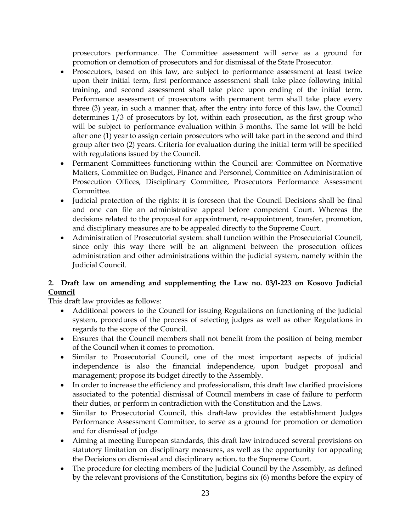prosecutors performance. The Committee assessment will serve as a ground for promotion or demotion of prosecutors and for dismissal of the State Prosecutor.

- Prosecutors, based on this law, are subject to performance assessment at least twice upon their initial term, first performance assessment shall take place following initial training, and second assessment shall take place upon ending of the initial term. Performance assessment of prosecutors with permanent term shall take place every three (3) year, in such a manner that, after the entry into force of this law, the Council determines 1/3 of prosecutors by lot, within each prosecution, as the first group who will be subject to performance evaluation within 3 months. The same lot will be held after one (1) year to assign certain prosecutors who will take part in the second and third group after two (2) years. Criteria for evaluation during the initial term will be specified with regulations issued by the Council.
- Permanent Committees functioning within the Council are: Committee on Normative Matters, Committee on Budget, Finance and Personnel, Committee on Administration of Prosecution Offices, Disciplinary Committee, Prosecutors Performance Assessment Committee.
- Judicial protection of the rights: it is foreseen that the Council Decisions shall be final and one can file an administrative appeal before competent Court. Whereas the decisions related to the proposal for appointment, re-appointment, transfer, promotion, and disciplinary measures are to be appealed directly to the Supreme Court.
- Administration of Prosecutorial system: shall function within the Prosecutorial Council, since only this way there will be an alignment between the prosecution offices administration and other administrations within the judicial system, namely within the Judicial Council.

#### **2. Draft law on amending and supplementing the Law no. 03/l-223 on Kosovo Judicial Council**

This draft law provides as follows:

- Additional powers to the Council for issuing Regulations on functioning of the judicial system, procedures of the process of selecting judges as well as other Regulations in regards to the scope of the Council.
- Ensures that the Council members shall not benefit from the position of being member of the Council when it comes to promotion.
- Similar to Prosecutorial Council, one of the most important aspects of judicial independence is also the financial independence, upon budget proposal and management; propose its budget directly to the Assembly.
- In order to increase the efficiency and professionalism, this draft law clarified provisions associated to the potential dismissal of Council members in case of failure to perform their duties, or perform in contradiction with the Constitution and the Laws.
- Similar to Prosecutorial Council, this draft-law provides the establishment Judges Performance Assessment Committee, to serve as a ground for promotion or demotion and for dismissal of judge.
- Aiming at meeting European standards, this draft law introduced several provisions on statutory limitation on disciplinary measures, as well as the opportunity for appealing the Decisions on dismissal and disciplinary action, to the Supreme Court.
- The procedure for electing members of the Judicial Council by the Assembly, as defined by the relevant provisions of the Constitution, begins six (6) months before the expiry of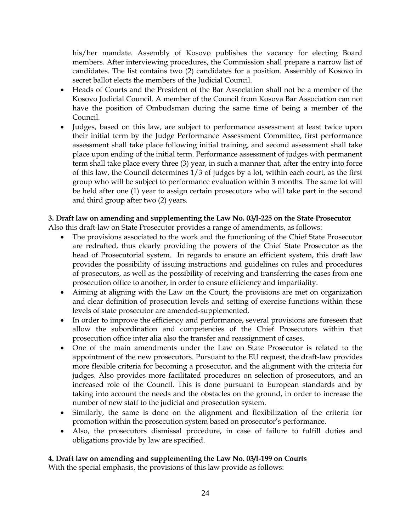his/her mandate. Assembly of Kosovo publishes the vacancy for electing Board members. After interviewing procedures, the Commission shall prepare a narrow list of candidates. The list contains two (2) candidates for a position. Assembly of Kosovo in secret ballot elects the members of the Judicial Council.

- Heads of Courts and the President of the Bar Association shall not be a member of the Kosovo Judicial Council. A member of the Council from Kosova Bar Association can not have the position of Ombudsman during the same time of being a member of the Council.
- Judges, based on this law, are subject to performance assessment at least twice upon their initial term by the Judge Performance Assessment Committee, first performance assessment shall take place following initial training, and second assessment shall take place upon ending of the initial term. Performance assessment of judges with permanent term shall take place every three (3) year, in such a manner that, after the entry into force of this law, the Council determines 1/3 of judges by a lot, within each court, as the first group who will be subject to performance evaluation within 3 months. The same lot will be held after one (1) year to assign certain prosecutors who will take part in the second and third group after two (2) years.

#### **3. Draft law on amending and supplementing the Law No. 03/l-225 on the State Prosecutor**

Also this draft-law on State Prosecutor provides a range of amendments, as follows:

- The provisions associated to the work and the functioning of the Chief State Prosecutor are redrafted, thus clearly providing the powers of the Chief State Prosecutor as the head of Prosecutorial system. In regards to ensure an efficient system, this draft law provides the possibility of issuing instructions and guidelines on rules and procedures of prosecutors, as well as the possibility of receiving and transferring the cases from one prosecution office to another, in order to ensure efficiency and impartiality.
- Aiming at aligning with the Law on the Court, the provisions are met on organization and clear definition of prosecution levels and setting of exercise functions within these levels of state prosecutor are amended-supplemented.
- In order to improve the efficiency and performance, several provisions are foreseen that allow the subordination and competencies of the Chief Prosecutors within that prosecution office inter alia also the transfer and reassignment of cases.
- One of the main amendments under the Law on State Prosecutor is related to the appointment of the new prosecutors. Pursuant to the EU request, the draft-law provides more flexible criteria for becoming a prosecutor, and the alignment with the criteria for judges. Also provides more facilitated procedures on selection of prosecutors, and an increased role of the Council. This is done pursuant to European standards and by taking into account the needs and the obstacles on the ground, in order to increase the number of new staff to the judicial and prosecution system.
- Similarly, the same is done on the alignment and flexibilization of the criteria for promotion within the prosecution system based on prosecutor's performance.
- Also, the prosecutors dismissal procedure, in case of failure to fulfill duties and obligations provide by law are specified.

#### **4. Draft law on amending and supplementing the Law No. 03/l-199 on Courts**

With the special emphasis, the provisions of this law provide as follows: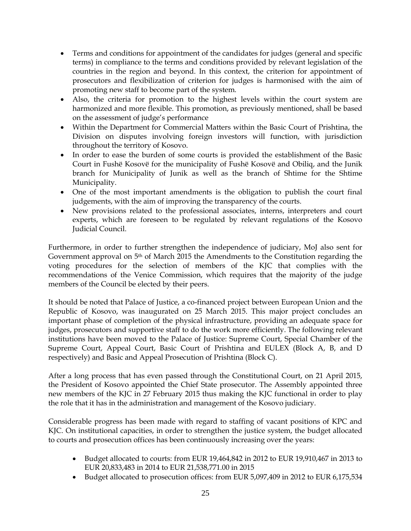- Terms and conditions for appointment of the candidates for judges (general and specific terms) in compliance to the terms and conditions provided by relevant legislation of the countries in the region and beyond. In this context, the criterion for appointment of prosecutors and flexibilization of criterion for judges is harmonised with the aim of promoting new staff to become part of the system.
- Also, the criteria for promotion to the highest levels within the court system are harmonized and more flexible. This promotion, as previously mentioned, shall be based on the assessment of judge's performance
- Within the Department for Commercial Matters within the Basic Court of Prishtina, the Division on disputes involving foreign investors will function, with jurisdiction throughout the territory of Kosovo.
- In order to ease the burden of some courts is provided the establishment of the Basic Court in Fushë Kosovë for the municipality of Fushë Kosovë and Obiliq, and the Junik branch for Municipality of Junik as well as the branch of Shtime for the Shtime Municipality.
- One of the most important amendments is the obligation to publish the court final judgements, with the aim of improving the transparency of the courts.
- New provisions related to the professional associates, interns, interpreters and court experts, which are foreseen to be regulated by relevant regulations of the Kosovo Judicial Council.

Furthermore, in order to further strengthen the independence of judiciary, MoJ also sent for Government approval on 5th of March 2015 the Amendments to the Constitution regarding the voting procedures for the selection of members of the KJC that complies with the recommendations of the Venice Commission, which requires that the majority of the judge members of the Council be elected by their peers.

It should be noted that Palace of Justice, a co-financed project between European Union and the Republic of Kosovo, was inaugurated on 25 March 2015. This major project concludes an important phase of completion of the physical infrastructure, providing an adequate space for judges, prosecutors and supportive staff to do the work more efficiently. The following relevant institutions have been moved to the Palace of Justice: Supreme Court, Special Chamber of the Supreme Court, Appeal Court, Basic Court of Prishtina and EULEX (Block A, B, and D respectively) and Basic and Appeal Prosecution of Prishtina (Block C).

After a long process that has even passed through the Constitutional Court, on 21 April 2015, the President of Kosovo appointed the Chief State prosecutor. The Assembly appointed three new members of the KJC in 27 February 2015 thus making the KJC functional in order to play the role that it has in the administration and management of the Kosovo judiciary.

Considerable progress has been made with regard to staffing of vacant positions of KPC and KJC. On institutional capacities, in order to strengthen the justice system, the budget allocated to courts and prosecution offices has been continuously increasing over the years:

- Budget allocated to courts: from EUR 19,464,842 in 2012 to EUR 19,910,467 in 2013 to EUR 20,833,483 in 2014 to EUR 21,538,771.00 in 2015
- Budget allocated to prosecution offices: from EUR 5,097,409 in 2012 to EUR 6,175,534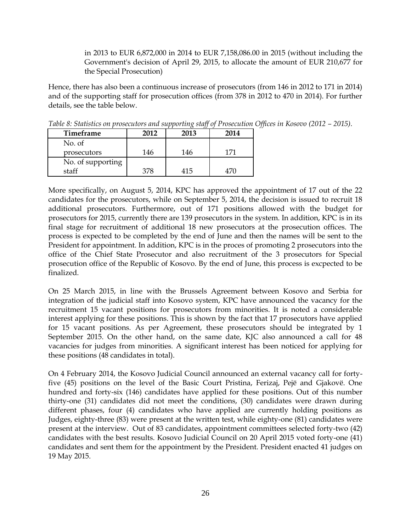in 2013 to EUR 6,872,000 in 2014 to EUR 7,158,086.00 in 2015 (without including the Government's decision of April 29, 2015, to allocate the amount of EUR 210,677 for the Special Prosecution)

Hence, there has also been a continuous increase of prosecutors (from 146 in 2012 to 171 in 2014) and of the supporting staff for prosecution offices (from 378 in 2012 to 470 in 2014). For further details, see the table below.

| Timeframe         | 2012 | 2013 | 2014 |
|-------------------|------|------|------|
|                   |      |      |      |
| No. of            |      |      |      |
| prosecutors       | 146  | 146  | 171  |
| No. of supporting |      |      |      |
| staff             | 378  | 415  | 47C  |

*Table 8: Statistics on prosecutors and supporting staff of Prosecution Offices in Kosovo (2012 – 2015).* 

More specifically, on August 5, 2014, KPC has approved the appointment of 17 out of the 22 candidates for the prosecutors, while on September 5, 2014, the decision is issued to recruit 18 additional prosecutors. Furthermore, out of 171 positions allowed with the budget for prosecutors for 2015, currently there are 139 prosecutors in the system. In addition, KPC is in its final stage for recruitment of additional 18 new prosecutors at the prosecution offices. The process is expected to be completed by the end of June and then the names will be sent to the President for appointment. In addition, KPC is in the proces of promoting 2 prosecutors into the office of the Chief State Prosecutor and also recruitment of the 3 prosecutors for Special prosecution office of the Republic of Kosovo. By the end of June, this process is excpected to be finalized.

On 25 March 2015, in line with the Brussels Agreement between Kosovo and Serbia for integration of the judicial staff into Kosovo system, KPC have announced the vacancy for the recruitment 15 vacant positions for prosecutors from minorities. It is noted a considerable interest applying for these positions. This is shown by the fact that 17 prosecutors have applied for 15 vacant positions. As per Agreement, these prosecutors should be integrated by 1 September 2015. On the other hand, on the same date, KJC also announced a call for 48 vacancies for judges from minorities. A significant interest has been noticed for applying for these positions (48 candidates in total).

On 4 February 2014, the Kosovo Judicial Council announced an external vacancy call for fortyfive (45) positions on the level of the Basic Court Pristina, Ferizaj, Pejë and Gjakovë. One hundred and forty-six (146) candidates have applied for these positions. Out of this number thirty-one (31) candidates did not meet the conditions, (30) candidates were drawn during different phases, four (4) candidates who have applied are currently holding positions as Judges, eighty-three (83) were present at the written test, while eighty-one (81) candidates were present at the interview. Out of 83 candidates, appointment committees selected forty-two (42) candidates with the best results. Kosovo Judicial Council on 20 April 2015 voted forty-one (41) candidates and sent them for the appointment by the President. President enacted 41 judges on 19 May 2015.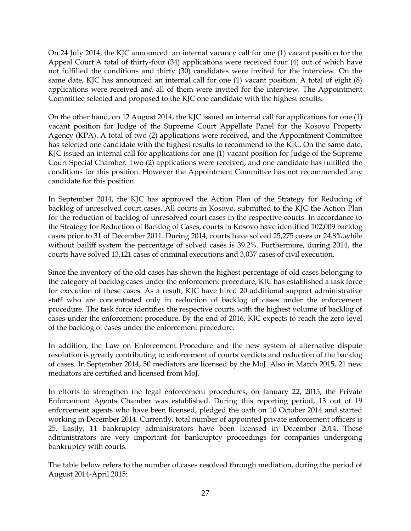On 24 July 2014, the KJC announced an internal vacancy call for one (1) vacant position for the Appeal Court.A total of thirty-four (34) applications were received four (4) out of which have not fulfilled the conditions and thirty (30) candidates were invited for the interview. On the same date, KJC has announced an internal call for one (1) vacant position. A total of eight (8) applications were received and all of them were invited for the interview. The Appointment Committee selected and proposed to the KJC one candidate with the highest results.

On the other hand, on 12 August 2014, the KJC issued an internal call for applications for one (1) vacant position for Judge of the Supreme Court Appellate Panel for the Kosovo Property Agency (KPA). A total of two (2) applications were received, and the Appointment Committee has selected one candidate with the highest results to recommend to the KJC. On the same date, KJC issued an internal call for applications for one (1) vacant position for Judge of the Supreme Court Special Chamber. Two (2) applications were received, and one candidate has fulfilled the conditions for this position. However the Appointment Committee has not recommended any candidate for this position.

In September 2014, the KJC has approved the Action Plan of the Strategy for Reducing of backlog of unresolved court cases. All courts in Kosovo, submitted to the KJC the Action Plan for the reduction of backlog of unresolved court cases in the respective courts. In accordance to the Strategy for Reduction of Backlog of Cases, courts in Kosovo have identified 102,009 backlog cases prior to 31 of December 2011. During 2014, courts have solved 25,275 cases or 24.8%,while without bailiff system the percentage of solved cases is 39.2%. Furthermore, during 2014, the courts have solved 13,121 cases of criminal executions and 3,037 cases of civil execution.

Since the inventory of the old cases has shown the highest percentage of old cases belonging to the category of backlog cases under the enforcement procedure, KJC has established a task force for execution of these cases. As a result, KJC have hired 20 additional support administrative staff who are concentrated only in reduction of backlog of cases under the enforcement procedure. The task force identifies the respective courts with the highest volume of backlog of cases under the enforcement procedure. By the end of 2016, KJC expects to reach the zero level of the backlog of cases under the enforcement procedure.

In addition, the Law on Enforcement Procedure and the new system of alternative dispute resolution is greatly contributing to enforcement of courts verdicts and reduction of the backlog of cases. In September 2014, 50 mediators are licensed by the MoJ. Also in March 2015, 21 new mediators are certified and licensed from MoJ.

In efforts to strengthen the legal enforcement procedures, on January 22, 2015, the Private Enforcement Agents Chamber was established. During this reporting period, 13 out of 19 enforcement agents who have been licensed, pledged the oath on 10 October 2014 and started working in December 2014. Currently, total number of appointed private enforcement officers is 25. Lastly, 11 bankruptcy administrators have been licensed in December 2014. These administrators are very important for bankruptcy proceedings for companies undergoing bankruptcy with courts.

The table below refers to the number of cases resolved through mediation, during the period of August 2014-April 2015: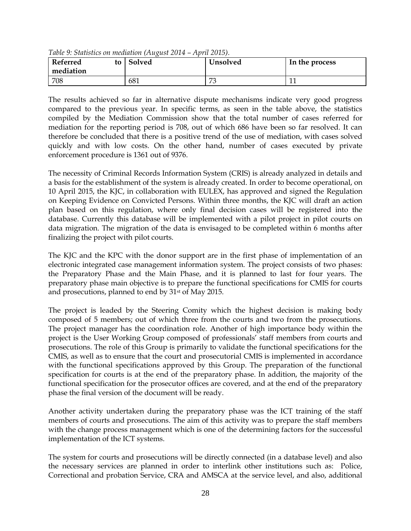| Referred<br>mediation | to | Solved | Unsolved | In the process |
|-----------------------|----|--------|----------|----------------|
| 708                   |    | 681    | 70       |                |

*Table 9: Statistics on mediation (August 2014 – April 2015).*

The results achieved so far in alternative dispute mechanisms indicate very good progress compared to the previous year. In specific terms, as seen in the table above, the statistics compiled by the Mediation Commission show that the total number of cases referred for mediation for the reporting period is 708, out of which 686 have been so far resolved. It can therefore be concluded that there is a positive trend of the use of mediation, with cases solved quickly and with low costs. On the other hand, number of cases executed by private enforcement procedure is 1361 out of 9376.

The necessity of Criminal Records Information System (CRIS) is already analyzed in details and a basis for the establishment of the system is already created. In order to become operational, on 10 April 2015, the KJC, in collaboration with EULEX, has approved and signed the Regulation on Keeping Evidence on Convicted Persons. Within three months, the KJC will draft an action plan based on this regulation, where only final decision cases will be registered into the database. Currently this database will be implemented with a pilot project in pilot courts on data migration. The migration of the data is envisaged to be completed within 6 months after finalizing the project with pilot courts.

The KJC and the KPC with the donor support are in the first phase of implementation of an electronic integrated case management information system. The project consists of two phases: the Preparatory Phase and the Main Phase, and it is planned to last for four years. The preparatory phase main objective is to prepare the functional specifications for CMIS for courts and prosecutions, planned to end by 31st of May 2015.

The project is leaded by the Steering Comity which the highest decision is making body composed of 5 members; out of which three from the courts and two from the prosecutions. The project manager has the coordination role. Another of high importance body within the project is the User Working Group composed of professionals' staff members from courts and prosecutions. The role of this Group is primarily to validate the functional specifications for the CMIS, as well as to ensure that the court and prosecutorial CMIS is implemented in accordance with the functional specifications approved by this Group. The preparation of the functional specification for courts is at the end of the preparatory phase. In addition, the majority of the functional specification for the prosecutor offices are covered, and at the end of the preparatory phase the final version of the document will be ready.

Another activity undertaken during the preparatory phase was the ICT training of the staff members of courts and prosecutions. The aim of this activity was to prepare the staff members with the change process management which is one of the determining factors for the successful implementation of the ICT systems.

The system for courts and prosecutions will be directly connected (in a database level) and also the necessary services are planned in order to interlink other institutions such as: Police, Correctional and probation Service, CRA and AMSCA at the service level, and also, additional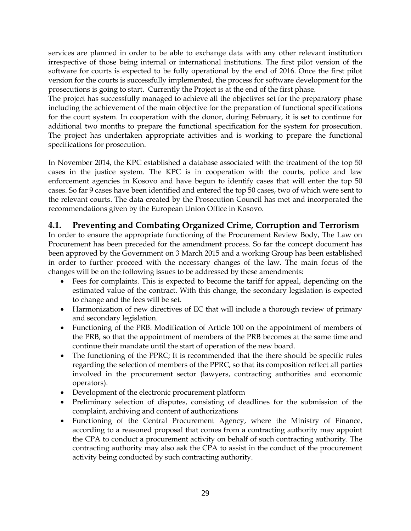services are planned in order to be able to exchange data with any other relevant institution irrespective of those being internal or international institutions. The first pilot version of the software for courts is expected to be fully operational by the end of 2016. Once the first pilot version for the courts is successfully implemented, the process for software development for the prosecutions is going to start. Currently the Project is at the end of the first phase.

The project has successfully managed to achieve all the objectives set for the preparatory phase including the achievement of the main objective for the preparation of functional specifications for the court system. In cooperation with the donor, during February, it is set to continue for additional two months to prepare the functional specification for the system for prosecution. The project has undertaken appropriate activities and is working to prepare the functional specifications for prosecution.

In November 2014, the KPC established a database associated with the treatment of the top 50 cases in the justice system. The KPC is in cooperation with the courts, police and law enforcement agencies in Kosovo and have begun to identify cases that will enter the top 50 cases. So far 9 cases have been identified and entered the top 50 cases, two of which were sent to the relevant courts. The data created by the Prosecution Council has met and incorporated the recommendations given by the European Union Office in Kosovo.

## <span id="page-28-0"></span>**4.1. Preventing and Combating Organized Crime, Corruption and Terrorism**

In order to ensure the appropriate functioning of the Procurement Review Body, The Law on Procurement has been preceded for the amendment process. So far the concept document has been approved by the Government on 3 March 2015 and a working Group has been established in order to further proceed with the necessary changes of the law. The main focus of the changes will be on the following issues to be addressed by these amendments:

- Fees for complaints. This is expected to become the tariff for appeal, depending on the estimated value of the contract. With this change, the secondary legislation is expected to change and the fees will be set.
- Harmonization of new directives of EC that will include a thorough review of primary and secondary legislation.
- Functioning of the PRB. Modification of Article 100 on the appointment of members of the PRB, so that the appointment of members of the PRB becomes at the same time and continue their mandate until the start of operation of the new board.
- The functioning of the PPRC; It is recommended that the there should be specific rules regarding the selection of members of the PPRC, so that its composition reflect all parties involved in the procurement sector (lawyers, contracting authorities and economic operators).
- Development of the electronic procurement platform
- Preliminary selection of disputes, consisting of deadlines for the submission of the complaint, archiving and content of authorizations
- Functioning of the Central Procurement Agency, where the Ministry of Finance, according to a reasoned proposal that comes from a contracting authority may appoint the CPA to conduct a procurement activity on behalf of such contracting authority. The contracting authority may also ask the CPA to assist in the conduct of the procurement activity being conducted by such contracting authority.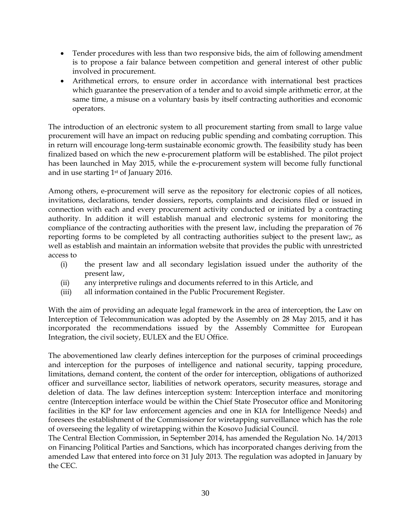- Tender procedures with less than two responsive bids, the aim of following amendment is to propose a fair balance between competition and general interest of other public involved in procurement.
- Arithmetical errors, to ensure order in accordance with international best practices which guarantee the preservation of a tender and to avoid simple arithmetic error, at the same time, a misuse on a voluntary basis by itself contracting authorities and economic operators.

The introduction of an electronic system to all procurement starting from small to large value procurement will have an impact on reducing public spending and combating corruption. This in return will encourage long-term sustainable economic growth. The feasibility study has been finalized based on which the new e-procurement platform will be established. The pilot project has been launched in May 2015, while the e-procurement system will become fully functional and in use starting 1st of January 2016.

Among others, e-procurement will serve as the repository for electronic copies of all notices, invitations, declarations, tender dossiers, reports, complaints and decisions filed or issued in connection with each and every procurement activity conducted or initiated by a contracting authority. In addition it will establish manual and electronic systems for monitoring the compliance of the contracting authorities with the present law, including the preparation of 76 reporting forms to be completed by all contracting authorities subject to the present law;, as well as establish and maintain an information website that provides the public with unrestricted access to

- (i) the present law and all secondary legislation issued under the authority of the present law,
- (ii) any interpretive rulings and documents referred to in this Article, and
- (iii) all information contained in the Public Procurement Register.

With the aim of providing an adequate legal framework in the area of interception, the Law on Interception of Telecommunication was adopted by the Assembly on 28 May 2015, and it has incorporated the recommendations issued by the Assembly Committee for European Integration, the civil society, EULEX and the EU Office.

The abovementioned law clearly defines interception for the purposes of criminal proceedings and interception for the purposes of intelligence and national security, tapping procedure, limitations, demand content, the content of the order for interception, obligations of authorized officer and surveillance sector, liabilities of network operators, security measures, storage and deletion of data. The law defines interception system: Interception interface and monitoring centre (Interception interface would be within the Chief State Prosecutor office and Monitoring facilities in the KP for law enforcement agencies and one in KIA for Intelligence Needs) and foresees the establishment of the Commissioner for wiretapping surveillance which has the role of overseeing the legality of wiretapping within the Kosovo Judicial Council.

The Central Election Commission, in September 2014, has amended the Regulation No. 14/2013 on Financing Political Parties and Sanctions, which has incorporated changes deriving from the amended Law that entered into force on 31 July 2013. The regulation was adopted in January by the CEC.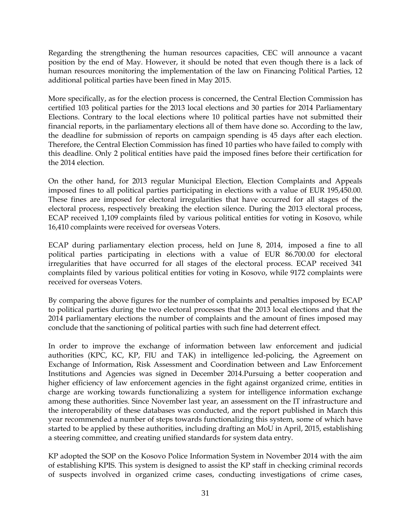Regarding the strengthening the human resources capacities, CEC will announce a vacant position by the end of May. However, it should be noted that even though there is a lack of human resources monitoring the implementation of the law on Financing Political Parties, 12 additional political parties have been fined in May 2015.

More specifically, as for the election process is concerned, the Central Election Commission has certified 103 political parties for the 2013 local elections and 30 parties for 2014 Parliamentary Elections. Contrary to the local elections where 10 political parties have not submitted their financial reports, in the parliamentary elections all of them have done so. According to the law, the deadline for submission of reports on campaign spending is 45 days after each election. Therefore, the Central Election Commission has fined 10 parties who have failed to comply with this deadline. Only 2 political entities have paid the imposed fines before their certification for the 2014 election.

On the other hand, for 2013 regular Municipal Election, Election Complaints and Appeals imposed fines to all political parties participating in elections with a value of EUR 195,450.00. These fines are imposed for electoral irregularities that have occurred for all stages of the electoral process, respectively breaking the election silence. During the 2013 electoral process, ECAP received 1,109 complaints filed by various political entities for voting in Kosovo, while 16,410 complaints were received for overseas Voters.

ECAP during parliamentary election process, held on June 8, 2014, imposed a fine to all political parties participating in elections with a value of EUR 86.700.00 for electoral irregularities that have occurred for all stages of the electoral process. ECAP received 341 complaints filed by various political entities for voting in Kosovo, while 9172 complaints were received for overseas Voters.

By comparing the above figures for the number of complaints and penalties imposed by ECAP to political parties during the two electoral processes that the 2013 local elections and that the 2014 parliamentary elections the number of complaints and the amount of fines imposed may conclude that the sanctioning of political parties with such fine had deterrent effect.

In order to improve the exchange of information between law enforcement and judicial authorities (KPC, KC, KP, FIU and TAK) in intelligence led-policing, the Agreement on Exchange of Information, Risk Assessment and Coordination between and Law Enforcement Institutions and Agencies was signed in December 2014.Pursuing a better cooperation and higher efficiency of law enforcement agencies in the fight against organized crime, entities in charge are working towards functionalizing a system for intelligence information exchange among these authorities. Since November last year, an assessment on the IT infrastructure and the interoperability of these databases was conducted, and the report published in March this year recommended a number of steps towards functionalizing this system, some of which have started to be applied by these authorities, including drafting an MoU in April, 2015, establishing a steering committee, and creating unified standards for system data entry.

KP adopted the SOP on the Kosovo Police Information System in November 2014 with the aim of establishing KPIS. This system is designed to assist the KP staff in checking criminal records of suspects involved in organized crime cases, conducting investigations of crime cases,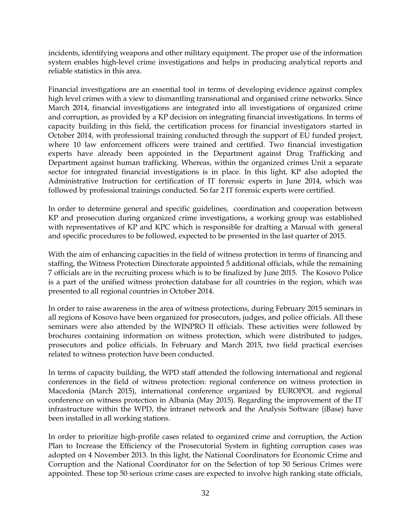incidents, identifying weapons and other military equipment. The proper use of the information system enables high-level crime investigations and helps in producing analytical reports and reliable statistics in this area.

Financial investigations are an essential tool in terms of developing evidence against complex high level crimes with a view to dismantling transnational and organised crime networks. Since March 2014, financial investigations are integrated into all investigations of organized crime and corruption, as provided by a KP decision on integrating financial investigations. In terms of capacity building in this field, the certification process for financial investigators started in October 2014, with professional training conducted through the support of EU funded project, where 10 law enforcement officers were trained and certified. Two financial investigation experts have already been appointed in the Department against Drug Trafficking and Department against human trafficking. Whereas, within the organized crimes Unit a separate sector for integrated financial investigations is in place. In this light, KP also adopted the Administrative Instruction for certification of IT forensic experts in June 2014, which was followed by professional trainings conducted. So far 2 IT forensic experts were certified.

In order to determine general and specific guidelines, coordination and cooperation between KP and prosecution during organized crime investigations, a working group was established with representatives of KP and KPC which is responsible for drafting a Manual with general and specific procedures to be followed, expected to be presented in the last quarter of 2015.

With the aim of enhancing capacities in the field of witness protection in terms of financing and staffing, the Witness Protection Directorate appointed 5 additional officials, while the remaining 7 officials are in the recruiting process which is to be finalized by June 2015. The Kosovo Police is a part of the unified witness protection database for all countries in the region, which was presented to all regional countries in October 2014.

In order to raise awareness in the area of witness protections, during February 2015 seminars in all regions of Kosovo have been organized for prosecutors, judges, and police officials. All these seminars were also attended by the WINPRO II officials. These activities were followed by brochures containing information on witness protection, which were distributed to judges, prosecutors and police officials. In February and March 2015, two field practical exercises related to witness protection have been conducted.

In terms of capacity building, the WPD staff attended the following international and regional conferences in the field of witness protection: regional conference on witness protection in Macedonia (March 2015), international conference organized by EUROPOL and regional conference on witness protection in Albania (May 2015). Regarding the improvement of the IT infrastructure within the WPD, the intranet network and the Analysis Software (iBase) have been installed in all working stations.

In order to prioritize high-profile cases related to organized crime and corruption, the Action Plan to Increase the Efficiency of the Prosecutorial System in fighting corruption cases was adopted on 4 November 2013. In this light, the National Coordinators for Economic Crime and Corruption and the National Coordinator for on the Selection of top 50 Serious Crimes were appointed. These top 50 serious crime cases are expected to involve high ranking state officials,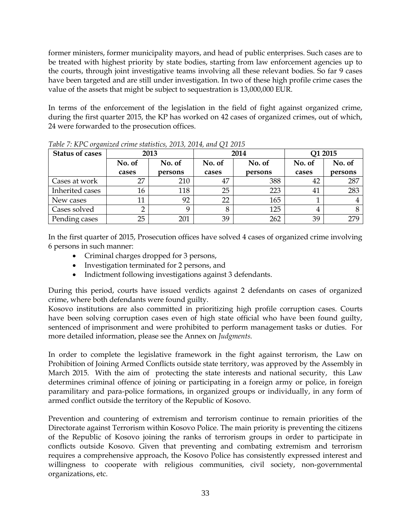former ministers, former municipality mayors, and head of public enterprises. Such cases are to be treated with highest priority by state bodies, starting from law enforcement agencies up to the courts, through joint investigative teams involving all these relevant bodies. So far 9 cases have been targeted and are still under investigation. In two of these high profile crime cases the value of the assets that might be subject to sequestration is 13,000,000 EUR.

In terms of the enforcement of the legislation in the field of fight against organized crime, during the first quarter 2015, the KP has worked on 42 cases of organized crimes, out of which, 24 were forwarded to the prosecution offices.

| <b>Status of cases</b> |                 | 2013              | 2014            |                   | Q1 2015         |                   |
|------------------------|-----------------|-------------------|-----------------|-------------------|-----------------|-------------------|
|                        | No. of<br>cases | No. of<br>persons | No. of<br>cases | No. of<br>persons | No. of<br>cases | No. of<br>persons |
| Cases at work          | 27              | 210               | 47              | 388               | 42              | 287               |
| Inherited cases        | 16              | 118               | 25              | 223               | 41              | 283               |
| New cases              | 11              | 92                | 22              | 165               |                 |                   |
| Cases solved           | ∍               |                   |                 | 125               | 4               |                   |
| Pending cases          | 25              | 201               | 39              | 262               | 39              | 279               |

*Table 7: KPC organized crime statistics, 2013, 2014, and Q1 2015* 

In the first quarter of 2015, Prosecution offices have solved 4 cases of organized crime involving 6 persons in such manner:

- Criminal charges dropped for 3 persons,
- Investigation terminated for 2 persons, and
- Indictment following investigations against 3 defendants.

During this period, courts have issued verdicts against 2 defendants on cases of organized crime, where both defendants were found guilty.

Kosovo institutions are also committed in prioritizing high profile corruption cases. Courts have been solving corruption cases even of high state official who have been found guilty, sentenced of imprisonment and were prohibited to perform management tasks or duties. For more detailed information, please see the Annex on *Judgments.*

In order to complete the legislative framework in the fight against terrorism, the Law on Prohibition of Joining Armed Conflicts outside state territory, was approved by the Assembly in March 2015. With the aim of protecting the state interests and national security, this Law determines criminal offence of joining or participating in a foreign army or police, in foreign paramilitary and para-police formations, in organized groups or individually, in any form of armed conflict outside the territory of the Republic of Kosovo.

Prevention and countering of extremism and terrorism continue to remain priorities of the Directorate against Terrorism within Kosovo Police. The main priority is preventing the citizens of the Republic of Kosovo joining the ranks of terrorism groups in order to participate in conflicts outside Kosovo. Given that preventing and combating extremism and terrorism requires a comprehensive approach, the Kosovo Police has consistently expressed interest and willingness to cooperate with religious communities, civil society, non-governmental organizations, etc.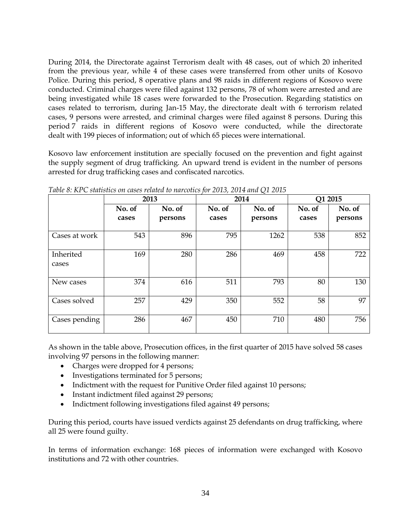During 2014, the Directorate against Terrorism dealt with 48 cases, out of which 20 inherited from the previous year, while 4 of these cases were transferred from other units of Kosovo Police. During this period, 8 operative plans and 98 raids in different regions of Kosovo were conducted. Criminal charges were filed against 132 persons, 78 of whom were arrested and are being investigated while 18 cases were forwarded to the Prosecution. Regarding statistics on cases related to terrorism, during Jan-15 May, the directorate dealt with 6 terrorism related cases, 9 persons were arrested, and criminal charges were filed against 8 persons. During this period 7 raids in different regions of Kosovo were conducted, while the directorate dealt with 199 pieces of information; out of which 65 pieces were international.

Kosovo law enforcement institution are specially focused on the prevention and fight against the supply segment of drug trafficking. An upward trend is evident in the number of persons arrested for drug trafficking cases and confiscated narcotics.

|                    |                 | 2013              | 2014            |                   | Q1 2015         |                   |
|--------------------|-----------------|-------------------|-----------------|-------------------|-----------------|-------------------|
|                    | No. of<br>cases | No. of<br>persons | No. of<br>cases | No. of<br>persons | No. of<br>cases | No. of<br>persons |
|                    |                 |                   |                 |                   |                 |                   |
| Cases at work      | 543             | 896               | 795             | 1262              | 538             | 852               |
| Inherited<br>cases | 169             | 280               | 286             | 469               | 458             | 722               |
| New cases          | 374             | 616               | 511             | 793               | 80              | 130               |
| Cases solved       | 257             | 429               | 350             | 552               | 58              | 97                |
| Cases pending      | 286             | 467               | 450             | 710               | 480             | 756               |

*Table 8: KPC statistics on cases related to narcotics for 2013, 2014 and Q1 2015*

As shown in the table above, Prosecution offices, in the first quarter of 2015 have solved 58 cases involving 97 persons in the following manner:

- Charges were dropped for 4 persons;
- Investigations terminated for 5 persons;
- Indictment with the request for Punitive Order filed against 10 persons;
- Instant indictment filed against 29 persons;
- Indictment following investigations filed against 49 persons;

During this period, courts have issued verdicts against 25 defendants on drug trafficking, where all 25 were found guilty.

In terms of information exchange: 168 pieces of information were exchanged with Kosovo institutions and 72 with other countries.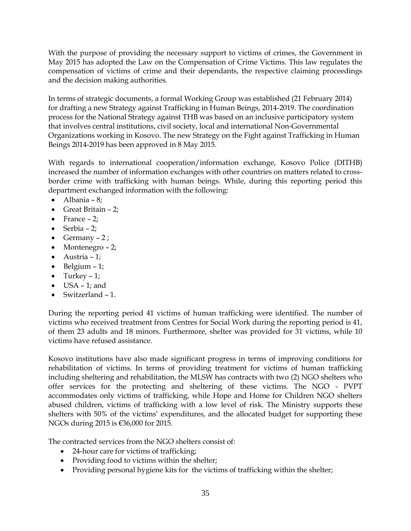With the purpose of providing the necessary support to victims of crimes, the Government in May 2015 has adopted the Law on the Compensation of Crime Victims. This law regulates the compensation of victims of crime and their dependants, the respective claiming proceedings and the decision making authorities.

In terms of strategic documents, a formal Working Group was established (21 February 2014) for drafting a new Strategy against Trafficking in Human Beings, 2014-2019. The coordination process for the National Strategy against THB was based on an inclusive participatory system that involves central institutions, civil society, local and international Non-Governmental Organizations working in Kosovo. The new Strategy on the Fight against Trafficking in Human Beings 2014-2019 has been approved in 8 May 2015.

With regards to international cooperation/information exchange, Kosovo Police (DITHB) increased the number of information exchanges with other countries on matters related to crossborder crime with trafficking with human beings. While, during this reporting period this department exchanged information with the following:

- $\bullet$  Albania 8;
- Great Britain 2;
- $\bullet$  France 2;
- $\bullet$  Serbia 2;
- Germany  $-2$ ;
- Montenegro 2;
- $\bullet$  Austria 1;
- $\bullet$  Belgium 1;
- $\bullet$  Turkey 1;
- $\bullet$  USA 1; and
- Switzerland 1.

During the reporting period 41 victims of human trafficking were identified. The number of victims who received treatment from Centres for Social Work during the reporting period is 41, of them 23 adults and 18 minors. Furthermore, shelter was provided for 31 victims, while 10 victims have refused assistance.

Kosovo institutions have also made significant progress in terms of improving conditions for rehabilitation of victims. In terms of providing treatment for victims of human trafficking including sheltering and rehabilitation, the MLSW has contracts with two (2) NGO shelters who offer services for the protecting and sheltering of these victims. The NGO - PVPT accommodates only victims of trafficking, while Hope and Home for Children NGO shelters abused children, victims of trafficking with a low level of risk. The Ministry supports these shelters with 50% of the victims' expenditures, and the allocated budget for supporting these NGOs during 2015 is €36,000 for 2015.

The contracted services from the NGO shelters consist of:

- 24-hour care for victims of trafficking;
- Providing food to victims within the shelter;
- Providing personal hygiene kits for the victims of trafficking within the shelter;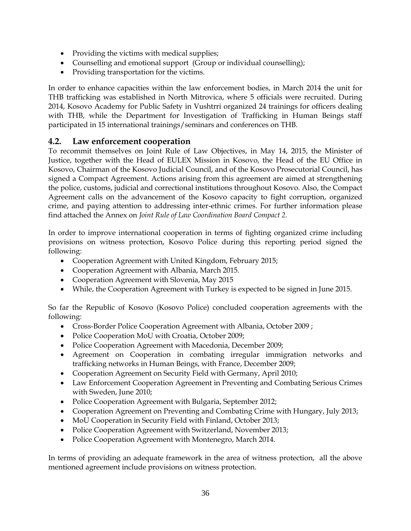- Providing the victims with medical supplies;
- Counselling and emotional support (Group or individual counselling);
- Providing transportation for the victims.

In order to enhance capacities within the law enforcement bodies, in March 2014 the unit for THB trafficking was established in North Mitrovica, where 5 officials were recruited. During 2014, Kosovo Academy for Public Safety in Vushtrri organized 24 trainings for officers dealing with THB, while the Department for Investigation of Trafficking in Human Beings staff participated in 15 international trainings/seminars and conferences on THB.

#### <span id="page-35-0"></span>**4.2. Law enforcement cooperation**

To recommit themselves on Joint Rule of Law Objectives, in May 14, 2015, the Minister of Justice, together with the Head of EULEX Mission in Kosovo, the Head of the EU Office in Kosovo, Chairman of the Kosovo Judicial Council, and of the Kosovo Prosecutorial Council, has signed a Compact Agreement. Actions arising from this agreement are aimed at strengthening the police, customs, judicial and correctional institutions throughout Kosovo. Also, the Compact Agreement calls on the advancement of the Kosovo capacity to fight corruption, organized crime, and paying attention to addressing inter-ethnic crimes. For further information please find attached the Annex on *Joint Rule of Law Coordination Board Compact 2.*

In order to improve international cooperation in terms of fighting organized crime including provisions on witness protection, Kosovo Police during this reporting period signed the following:

- Cooperation Agreement with United Kingdom, February 2015;
- Cooperation Agreement with Albania, March 2015.
- Cooperation Agreement with Slovenia, May 2015
- While, the Cooperation Agreement with Turkey is expected to be signed in June 2015.

So far the Republic of Kosovo (Kosovo Police) concluded cooperation agreements with the following:

- Cross-Border Police Cooperation Agreement with Albania, October 2009 ;
- Police Cooperation MoU with Croatia, October 2009;
- Police Cooperation Agreement with Macedonia, December 2009;
- Agreement on Cooperation in combating irregular immigration networks and trafficking networks in Human Beings, with France, December 2009;
- Cooperation Agreement on Security Field with Germany, April 2010;
- Law Enforcement Cooperation Agreement in Preventing and Combating Serious Crimes with Sweden, June 2010;
- Police Cooperation Agreement with Bulgaria, September 2012;
- Cooperation Agreement on Preventing and Combating Crime with Hungary, July 2013;
- MoU Cooperation in Security Field with Finland, October 2013;
- Police Cooperation Agreement with Switzerland, November 2013;
- Police Cooperation Agreement with Montenegro, March 2014.

In terms of providing an adequate framework in the area of witness protection, all the above mentioned agreement include provisions on witness protection.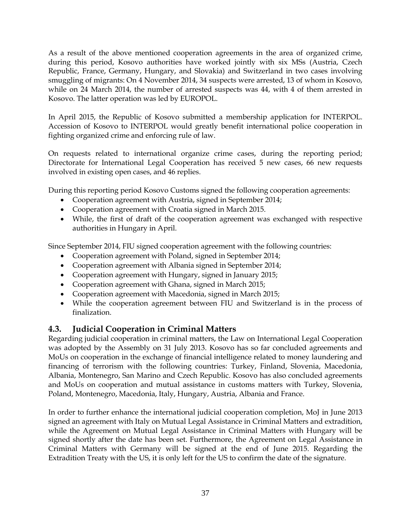As a result of the above mentioned cooperation agreements in the area of organized crime, during this period, Kosovo authorities have worked jointly with six MSs (Austria, Czech Republic, France, Germany, Hungary, and Slovakia) and Switzerland in two cases involving smuggling of migrants: On 4 November 2014, 34 suspects were arrested, 13 of whom in Kosovo, while on 24 March 2014, the number of arrested suspects was 44, with 4 of them arrested in Kosovo. The latter operation was led by EUROPOL.

In April 2015, the Republic of Kosovo submitted a membership application for INTERPOL. Accession of Kosovo to INTERPOL would greatly benefit international police cooperation in fighting organized crime and enforcing rule of law.

On requests related to international organize crime cases, during the reporting period; Directorate for International Legal Cooperation has received 5 new cases, 66 new requests involved in existing open cases, and 46 replies.

During this reporting period Kosovo Customs signed the following cooperation agreements:

- Cooperation agreement with Austria, signed in September 2014;
- Cooperation agreement with Croatia signed in March 2015.
- While, the first of draft of the cooperation agreement was exchanged with respective authorities in Hungary in April.

Since September 2014, FIU signed cooperation agreement with the following countries:

- Cooperation agreement with Poland, signed in September 2014;
- Cooperation agreement with Albania signed in September 2014;
- Cooperation agreement with Hungary, signed in January 2015;
- Cooperation agreement with Ghana, signed in March 2015;
- Cooperation agreement with Macedonia, signed in March 2015;
- While the cooperation agreement between FIU and Switzerland is in the process of finalization.

### <span id="page-36-0"></span>**4.3. Judicial Cooperation in Criminal Matters**

Regarding judicial cooperation in criminal matters, the Law on International Legal Cooperation was adopted by the Assembly on 31 July 2013. Kosovo has so far concluded agreements and MoUs on cooperation in the exchange of financial intelligence related to money laundering and financing of terrorism with the following countries: Turkey, Finland, Slovenia, Macedonia, Albania, Montenegro, San Marino and Czech Republic. Kosovo has also concluded agreements and MoUs on cooperation and mutual assistance in customs matters with Turkey, Slovenia, Poland, Montenegro, Macedonia, Italy, Hungary, Austria, Albania and France.

In order to further enhance the international judicial cooperation completion, MoJ in June 2013 signed an agreement with Italy on Mutual Legal Assistance in Criminal Matters and extradition, while the Agreement on Mutual Legal Assistance in Criminal Matters with Hungary will be signed shortly after the date has been set. Furthermore, the Agreement on Legal Assistance in Criminal Matters with Germany will be signed at the end of June 2015. Regarding the Extradition Treaty with the US, it is only left for the US to confirm the date of the signature.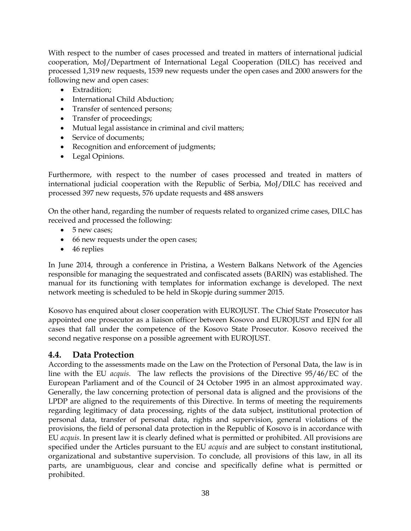With respect to the number of cases processed and treated in matters of international judicial cooperation, MoJ/Department of International Legal Cooperation (DILC) has received and processed 1,319 new requests, 1539 new requests under the open cases and 2000 answers for the following new and open cases:

- Extradition;
- International Child Abduction;
- Transfer of sentenced persons;
- Transfer of proceedings;
- Mutual legal assistance in criminal and civil matters;
- Service of documents;
- Recognition and enforcement of judgments;
- Legal Opinions.

Furthermore, with respect to the number of cases processed and treated in matters of international judicial cooperation with the Republic of Serbia, MoJ/DILC has received and processed 397 new requests, 576 update requests and 488 answers

On the other hand, regarding the number of requests related to organized crime cases, DILC has received and processed the following:

- 5 new cases:
- 66 new requests under the open cases;
- 46 replies

In June 2014, through a conference in Pristina, a Western Balkans Network of the Agencies responsible for managing the sequestrated and confiscated assets (BARIN) was established. The manual for its functioning with templates for information exchange is developed. The next network meeting is scheduled to be held in Skopje during summer 2015.

Kosovo has enquired about closer cooperation with EUROJUST. The Chief State Prosecutor has appointed one prosecutor as a liaison officer between Kosovo and EUROJUST and EJN for all cases that fall under the competence of the Kosovo State Prosecutor. Kosovo received the second negative response on a possible agreement with EUROJUST.

### <span id="page-37-0"></span>**4.4. Data Protection**

According to the assessments made on the Law on the Protection of Personal Data, the law is in line with the EU *acquis*. The law reflects the provisions of the Directive 95/46/EC of the European Parliament and of the Council of 24 October 1995 in an almost approximated way. Generally, the law concerning protection of personal data is aligned and the provisions of the LPDP are aligned to the requirements of this Directive. In terms of meeting the requirements regarding legitimacy of data processing, rights of the data subject, institutional protection of personal data, transfer of personal data, rights and supervision, general violations of the provisions, the field of personal data protection in the Republic of Kosovo is in accordance with EU *acquis*. In present law it is clearly defined what is permitted or prohibited. All provisions are specified under the Articles pursuant to the EU *acquis* and are subject to constant institutional, organizational and substantive supervision. To conclude, all provisions of this law, in all its parts, are unambiguous, clear and concise and specifically define what is permitted or prohibited.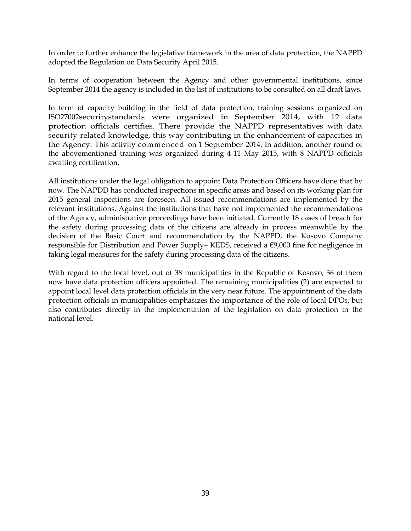In order to further enhance the legislative framework in the area of data protection, the NAPPD adopted the Regulation on Data Security April 2015.

In terms of cooperation between the Agency and other governmental institutions, since September 2014 the agency is included in the list of institutions to be consulted on all draft laws.

In term of capacity building in the field of data protection, training sessions organized on ISO27002securitystandards were organized in September 2014, with 12 data protection officials certifies. There provide the NAPPD representatives with data security related knowledge, this way contributing in the enhancement of capacities in the Agency. This activity commenced on 1 September 2014. In addition, another round of the abovementioned training was organized during 4-11 May 2015, with 8 NAPPD officials awaiting certification.

All institutions under the legal obligation to appoint Data Protection Officers have done that by now. The NAPDD has conducted inspections in specific areas and based on its working plan for 2015 general inspections are foreseen. All issued recommendations are implemented by the relevant institutions. Against the institutions that have not implemented the recommendations of the Agency, administrative proceedings have been initiated. Currently 18 cases of breach for the safety during processing data of the citizens are already in process meanwhile by the decision of the Basic Court and recommendation by the NAPPD, the Kosovo Company responsible for Distribution and Power Supply– KEDS, received a €9,000 fine for negligence in taking legal measures for the safety during processing data of the citizens.

With regard to the local level, out of 38 municipalities in the Republic of Kosovo, 36 of them now have data protection officers appointed. The remaining municipalities (2) are expected to appoint local level data protection officials in the very near future. The appointment of the data protection officials in municipalities emphasizes the importance of the role of local DPOs, but also contributes directly in the implementation of the legislation on data protection in the national level.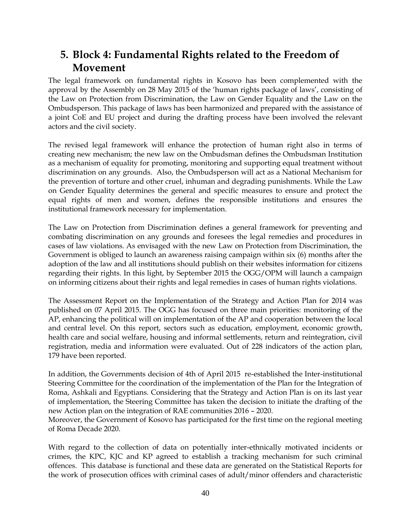## <span id="page-39-0"></span>**5. Block 4: Fundamental Rights related to the Freedom of Movement**

The legal framework on fundamental rights in Kosovo has been complemented with the approval by the Assembly on 28 May 2015 of the 'human rights package of laws', consisting of the Law on Protection from Discrimination, the Law on Gender Equality and the Law on the Ombudsperson. This package of laws has been harmonized and prepared with the assistance of a joint CoE and EU project and during the drafting process have been involved the relevant actors and the civil society.

The revised legal framework will enhance the protection of human right also in terms of creating new mechanism; the new law on the Ombudsman defines the Ombudsman Institution as a mechanism of equality for promoting, monitoring and supporting equal treatment without discrimination on any grounds. Also, the Ombudsperson will act as a National Mechanism for the prevention of torture and other cruel, inhuman and degrading punishments. While the Law on Gender Equality determines the general and specific measures to ensure and protect the equal rights of men and women, defines the responsible institutions and ensures the institutional framework necessary for implementation.

The Law on Protection from Discrimination defines a general framework for preventing and combating discrimination on any grounds and foresees the legal remedies and procedures in cases of law violations. As envisaged with the new Law on Protection from Discrimination, the Government is obliged to launch an awareness raising campaign within six (6) months after the adoption of the law and all institutions should publish on their websites information for citizens regarding their rights. In this light, by September 2015 the OGG/OPM will launch a campaign on informing citizens about their rights and legal remedies in cases of human rights violations.

The Assessment Report on the Implementation of the Strategy and Action Plan for 2014 was published on 07 April 2015. The OGG has focused on three main priorities: monitoring of the AP, enhancing the political will on implementation of the AP and cooperation between the local and central level. On this report, sectors such as education, employment, economic growth, health care and social welfare, housing and informal settlements, return and reintegration, civil registration, media and information were evaluated. Out of 228 indicators of the action plan, 179 have been reported.

In addition, the Governments decision of 4th of April 2015 re-established the Inter-institutional Steering Committee for the coordination of the implementation of the Plan for the Integration of Roma, Ashkali and Egyptians. Considering that the Strategy and Action Plan is on its last year of implementation, the Steering Committee has taken the decision to initiate the drafting of the new Action plan on the integration of RAE communities 2016 – 2020.

Moreover, the Government of Kosovo has participated for the first time on the regional meeting of Roma Decade 2020.

With regard to the collection of data on potentially inter-ethnically motivated incidents or crimes, the KPC, KJC and KP agreed to establish a tracking mechanism for such criminal offences. This database is functional and these data are generated on the Statistical Reports for the work of prosecution offices with criminal cases of adult/minor offenders and characteristic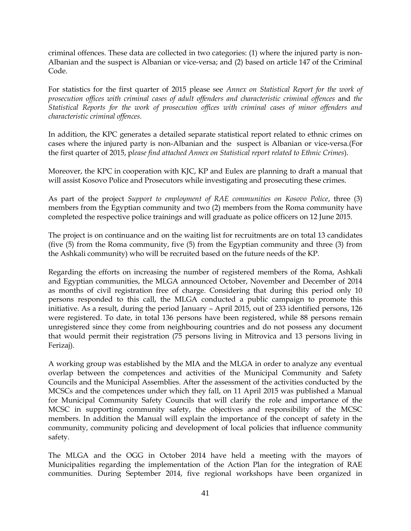criminal offences*.* These data are collected in two categories: (1) where the injured party is non-Albanian and the suspect is Albanian or vice-versa; and (2) based on article 147 of the Criminal Code.

For statistics for the first quarter of 2015 please see *Annex on Statistical Report for the work of prosecution offices with criminal cases of adult offenders and characteristic criminal offences* and *the Statistical Reports for the work of prosecution offices with criminal cases of minor offenders and characteristic criminal offences.*

In addition, the KPC generates a detailed separate statistical report related to ethnic crimes on cases where the injured party is non-Albanian and the suspect is Albanian or vice-versa.(For the first quarter of 2015, p*lease find attached Annex on Statistical report related to Ethnic Crimes*).

Moreover, the KPC in cooperation with KJC, KP and Eulex are planning to draft a manual that will assist Kosovo Police and Prosecutors while investigating and prosecuting these crimes.

As part of the project *Support to employment of RAE communities on Kosovo Police*, three (3) members from the Egyptian community and two (2) members from the Roma community have completed the respective police trainings and will graduate as police officers on 12 June 2015.

The project is on continuance and on the waiting list for recruitments are on total 13 candidates (five (5) from the Roma community, five (5) from the Egyptian community and three (3) from the Ashkali community) who will be recruited based on the future needs of the KP.

Regarding the efforts on increasing the number of registered members of the Roma, Ashkali and Egyptian communities, the MLGA announced October, November and December of 2014 as months of civil registration free of charge. Considering that during this period only 10 persons responded to this call, the MLGA conducted a public campaign to promote this initiative. As a result, during the period January – April 2015, out of 233 identified persons, 126 were registered. To date, in total 136 persons have been registered, while 88 persons remain unregistered since they come from neighbouring countries and do not possess any document that would permit their registration (75 persons living in Mitrovica and 13 persons living in Ferizaj).

A working group was established by the MIA and the MLGA in order to analyze any eventual overlap between the competences and activities of the Municipal Community and Safety Councils and the Municipal Assemblies. After the assessment of the activities conducted by the MCSCs and the competences under which they fall, on 11 April 2015 was published a Manual for Municipal Community Safety Councils that will clarify the role and importance of the MCSC in supporting community safety, the objectives and responsibility of the MCSC members. In addition the Manual will explain the importance of the concept of safety in the community, community policing and development of local policies that influence community safety.

The MLGA and the OGG in October 2014 have held a meeting with the mayors of Municipalities regarding the implementation of the Action Plan for the integration of RAE communities. During September 2014, five regional workshops have been organized in